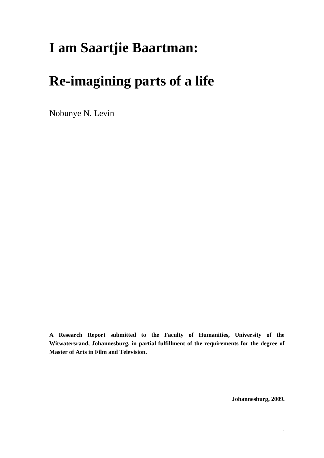# **I am Saartjie Baartman:**

# **Re-imagining parts of a life**

Nobunye N. Levin

**A Research Report submitted to the Faculty of Humanities, University of the Witwatersrand, Johannesburg, in partial fulfillment of the requirements for the degree of Master of Arts in Film and Television.**

**Johannesburg, 2009.**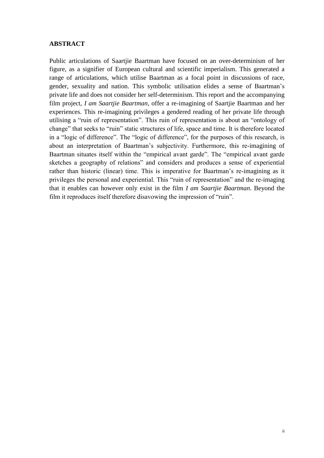### <span id="page-1-0"></span>**ABSTRACT**

Public articulations of Saartjie Baartman have focused on an over-determinism of her figure, as a signifier of European cultural and scientific imperialism. This generated a range of articulations, which utilise Baartman as a focal point in discussions of race, gender, sexuality and nation. This symbolic utilisation elides a sense of Baartman"s private life and does not consider her self-determinism. This report and the accompanying film project, *I am Saartjie Baartman*, offer a re-imagining of Saartjie Baartman and her experiences. This re-imagining privileges a gendered reading of her private life through utilising a "ruin of representation". This ruin of representation is about an "ontology of change" that seeks to "ruin" static structures of life, space and time. It is therefore located in a "logic of difference". The "logic of difference", for the purposes of this research, is about an interpretation of Baartman"s subjectivity. Furthermore, this re-imagining of Baartman situates itself within the "empirical avant garde". The "empirical avant garde sketches a geography of relations" and considers and produces a sense of experiential rather than historic (linear) time. This is imperative for Baartman"s re-imagining as it privileges the personal and experiential. This "ruin of representation" and the re-imaging that it enables can however only exist in the film *I am Saartjie Baartman*. Beyond the film it reproduces itself therefore disavowing the impression of "ruin".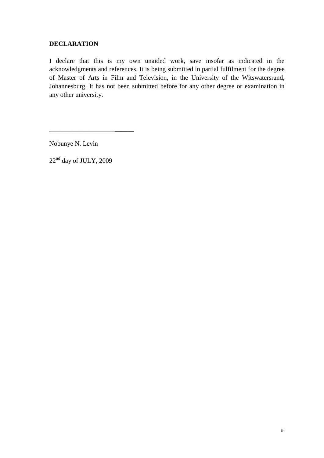# <span id="page-2-0"></span>**DECLARATION**

I declare that this is my own unaided work, save insofar as indicated in the acknowledgments and references. It is being submitted in partial fulfilment for the degree of Master of Arts in Film and Television, in the University of the Witswatersrand, Johannesburg. It has not been submitted before for any other degree or examination in any other university.

Nobunye N. Levin

22<sup>nd</sup> day of JULY, 2009

\_\_\_\_\_\_\_\_\_\_\_\_\_\_\_\_\_\_\_\_\_\_\_\_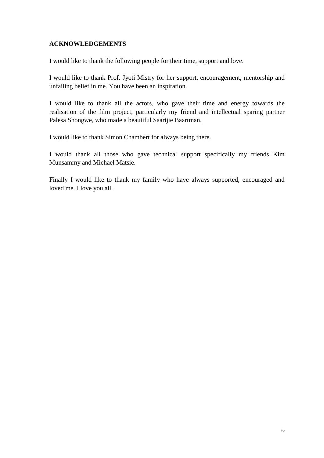# <span id="page-3-0"></span>**ACKNOWLEDGEMENTS**

I would like to thank the following people for their time, support and love.

I would like to thank Prof. Jyoti Mistry for her support, encouragement, mentorship and unfailing belief in me. You have been an inspiration.

I would like to thank all the actors, who gave their time and energy towards the realisation of the film project, particularly my friend and intellectual sparing partner Palesa Shongwe, who made a beautiful Saartjie Baartman.

I would like to thank Simon Chambert for always being there.

I would thank all those who gave technical support specifically my friends Kim Munsammy and Michael Matsie.

Finally I would like to thank my family who have always supported, encouraged and loved me. I love you all.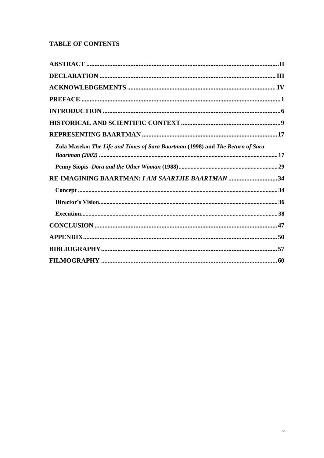# **TABLE OF CONTENTS**

| Zola Maseko: The Life and Times of Sara Baartman (1998) and The Return of Sara |  |
|--------------------------------------------------------------------------------|--|
|                                                                                |  |
| RE-IMAGINING BAARTMAN: I AM SAARTJIE BAARTMAN 34                               |  |
|                                                                                |  |
|                                                                                |  |
|                                                                                |  |
|                                                                                |  |
|                                                                                |  |
|                                                                                |  |
|                                                                                |  |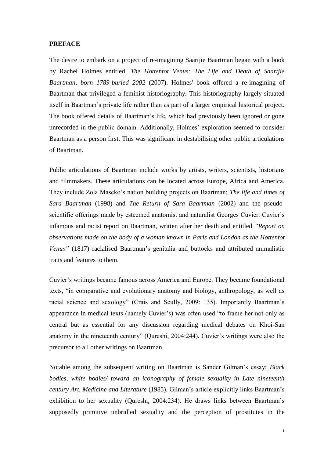### <span id="page-5-0"></span>**PREFACE**

The desire to embark on a project of re-imagining Saartjie Baartman began with a book by Rachel Holmes entitled, *The Hottentot Venus: The Life and Death of Saartjie Baartman, born 1789-buried 2002* (2007). Holmes' book offered a re-imagining of Baartman that privileged a feminist historiography. This historiography largely situated itself in Baartman"s private life rather than as part of a larger empirical historical project. The book offered details of Baartman"s life, which had previously been ignored or gone unrecorded in the public domain. Additionally, Holmes" exploration seemed to consider Baartman as a person first. This was significant in destabilising other public articulations of Baartman.

Public articulations of Baartman include works by artists, writers, scientists, historians and filmmakers. These articulations can be located across Europe, Africa and America. They include Zola Maseko"s nation building projects on Baartman; *The life and times of Sara Baartman* (1998) and *The Return of Sara Baartman* (2002) and the pseudoscientific offerings made by esteemed anatomist and naturalist Georges Cuvier. Cuvier's infamous and racist report on Baartman, written after her death and entitled *"Report on observations made on the body of a woman known in Paris and London as the Hottentot Venus*" (1817) racialised Baartman's genitalia and buttocks and attributed animalistic traits and features to them.

Cuvier"s writings became famous across America and Europe. They became foundational texts, "in comparative and evolutionary anatomy and biology, anthropology, as well as racial science and sexology" (Crais and Scully, 2009: 135). Importantly Baartman"s appearance in medical texts (namely Cuvier's) was often used "to frame her not only as central but as essential for any discussion regarding medical debates on Khoi-San anatomy in the nineteenth century" (Qureshi, 2004:244). Cuvier"s writings were also the precursor to all other writings on Baartman.

Notable among the subsequent writing on Baartman is Sander Gilman"s essay; *Black bodies, white bodies/ toward an iconography of female sexuality in Late nineteenth century Art, Medicine and Literature* (1985). Gilman"s article explicitly links Baartman"s exhibition to her sexuality (Qureshi, 2004:234). He draws links between Baartman"s supposedly primitive unbridled sexuality and the perception of prostitutes in the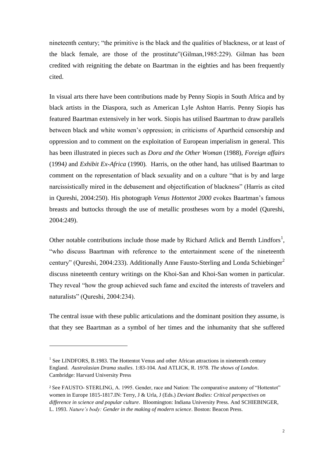nineteenth century; "the primitive is the black and the qualities of blackness, or at least of the black female, are those of the prostitute"(Gilman,1985:229). Gilman has been credited with reigniting the debate on Baartman in the eighties and has been frequently cited.

In visual arts there have been contributions made by Penny Siopis in South Africa and by black artists in the Diaspora, such as American Lyle Ashton Harris. Penny Siopis has featured Baartman extensively in her work. Siopis has utilised Baartman to draw parallels between black and white women"s oppression; in criticisms of Apartheid censorship and oppression and to comment on the exploitation of European imperialism in general. This has been illustrated in pieces such as *Dora and the Other Woman* (1988), *Foreign affairs*  (1994*)* and *Exhibit Ex-Africa* (1990)*.* Harris, on the other hand, has utilised Baartman to comment on the representation of black sexuality and on a culture "that is by and large narcissistically mired in the debasement and objectification of blackness" (Harris as cited in Qureshi, 2004:250). His photograph *Venus Hottentot 2000* evokes Baartman"s famous breasts and buttocks through the use of metallic prostheses worn by a model (Qureshi, 2004:249).

Other notable contributions include those made by Richard Atlick and Bernth Lindfors<sup>1</sup>, "who discuss Baartman with reference to the entertainment scene of the nineteenth century" (Qureshi, 2004:233). Additionally Anne Fausto-Sterling and Londa Schiebinger<sup>2</sup> discuss nineteenth century writings on the Khoi-San and Khoi-San women in particular. They reveal "how the group achieved such fame and excited the interests of travelers and naturalists" (Qureshi, 2004:234).

The central issue with these public articulations and the dominant position they assume, is that they see Baartman as a symbol of her times and the inhumanity that she suffered

-

<sup>&</sup>lt;sup>1</sup> See LINDFORS, B.1983. The Hottentot Venus and other African attractions in nineteenth century England. *Australasian Drama studies*. 1:83-104. And ATLICK, R. 1978*. The shows of London*. Cambridge: Harvard University Press

<sup>2</sup> See FAUSTO- STERLING, A. 1995. Gender, race and Nation: The comparative anatomy of "Hottentot" women in Europe 1815-1817.IN: Terry, J & Urla, J (Eds.) *Deviant Bodies: Critical perspectives on difference in science and popular culture*. Bloomington: Indiana University Press. And SCHIEBINGER, L. 1993. *Nature"s body: Gender in the making of modern science*. Boston: Beacon Press.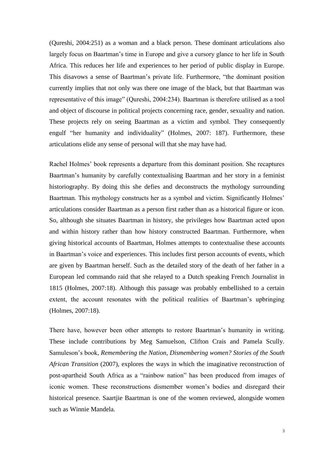(Qureshi, 2004:251) as a woman and a black person. These dominant articulations also largely focus on Baartman's time in Europe and give a cursory glance to her life in South Africa. This reduces her life and experiences to her period of public display in Europe. This disavows a sense of Baartman"s private life. Furthermore, "the dominant position currently implies that not only was there one image of the black, but that Baartman was representative of this image" (Qureshi, 2004:234). Baartman is therefore utilised as a tool and object of discourse in political projects concerning race, gender, sexuality and nation. These projects rely on seeing Baartman as a victim and symbol. They consequently engulf "her humanity and individuality" (Holmes, 2007: 187). Furthermore, these articulations elide any sense of personal will that she may have had.

Rachel Holmes' book represents a departure from this dominant position. She recaptures Baartman"s humanity by carefully contextualising Baartman and her story in a feminist historiography. By doing this she defies and deconstructs the mythology surrounding Baartman. This mythology constructs her as a symbol and victim. Significantly Holmes' articulations consider Baartman as a person first rather than as a historical figure or icon. So, although she situates Baartman in history, she privileges how Baartman acted upon and within history rather than how history constructed Baartman. Furthermore, when giving historical accounts of Baartman, Holmes attempts to contextualise these accounts in Baartman"s voice and experiences. This includes first person accounts of events, which are given by Baartman herself. Such as the detailed story of the death of her father in a European led commando raid that she relayed to a Dutch speaking French Journalist in 1815 (Holmes, 2007:18). Although this passage was probably embellished to a certain extent, the account resonates with the political realities of Baartman"s upbringing (Holmes, 2007:18).

There have, however been other attempts to restore Baartman"s humanity in writing. These include contributions by Meg Samuelson, Clifton Crais and Pamela Scully. Samuleson"s book, *Remembering the Nation, Dismembering women? Stories of the South African Transition* (2007), explores the ways in which the imaginative reconstruction of post-apartheid South Africa as a "rainbow nation" has been produced from images of iconic women. These reconstructions dismember women"s bodies and disregard their historical presence. Saartjie Baartman is one of the women reviewed, alongside women such as Winnie Mandela.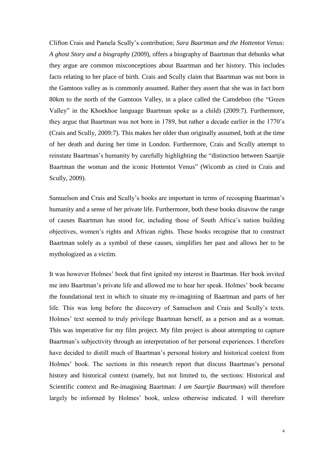Clifton Crais and Pamela Scully"s contribution; *Sara Baartman and the Hottentot Venus: A ghost Story and a biography* (2009), offers a biography of Baartman that debunks what they argue are common misconceptions about Baartman and her history. This includes facts relating to her place of birth. Crais and Scully claim that Baartman was not born in the Gamtoos valley as is commonly assumed. Rather they assert that she was in fact born 80km to the north of the Gamtoos Valley, in a place called the Camdeboo (the "Green Valley" in the Khoekhoe language Baartman spoke as a child) (2009:7). Furthermore, they argue that Baartman was not born in 1789, but rather a decade earlier in the 1770"s (Crais and Scully, 2009:7). This makes her older than originally assumed, both at the time of her death and during her time in London. Furthermore, Crais and Scully attempt to reinstate Baartman"s humanity by carefully highlighting the "distinction between Saartjie Baartman the woman and the iconic Hottentot Venus" (Wicomb as cited in Crais and Scully, 2009).

Samuelson and Crais and Scully"s books are important in terms of recouping Baartman"s humanity and a sense of her private life. Furthermore, both these books disavow the range of causes Baartman has stood for, including those of South Africa"s nation building objectives, women"s rights and African rights. These books recognise that to construct Baartman solely as a symbol of these causes, simplifies her past and allows her to be mythologized as a victim.

It was however Holmes" book that first ignited my interest in Baartman. Her book invited me into Baartman"s private life and allowed me to hear her speak. Holmes" book became the foundational text in which to situate my re-imagining of Baartman and parts of her life. This was long before the discovery of Samuelson and Crais and Scully"s texts. Holmes" text seemed to truly privilege Baartman herself, as a person and as a woman. This was imperative for my film project. My film project is about attempting to capture Baartman's subjectivity through an interpretation of her personal experiences. I therefore have decided to distill much of Baartman"s personal history and historical context from Holmes' book. The sections in this research report that discuss Baartman's personal history and historical context (namely, but not limited to, the sections: Historical and Scientific context and Re-imagining Baartman: *I am Saartjie Baartman*) will therefore largely be informed by Holmes' book, unless otherwise indicated. I will therefore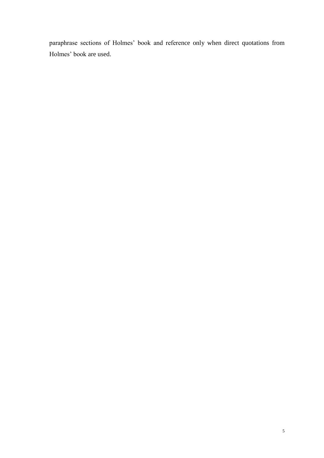paraphrase sections of Holmes" book and reference only when direct quotations from Holmes' book are used.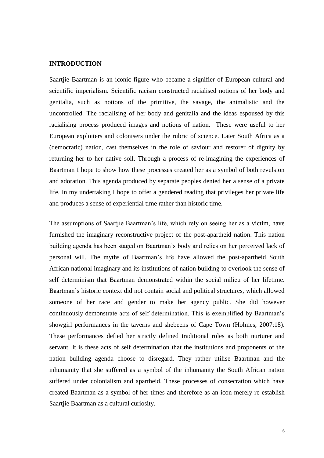## <span id="page-10-0"></span>**INTRODUCTION**

Saartjie Baartman is an iconic figure who became a signifier of European cultural and scientific imperialism. Scientific racism constructed racialised notions of her body and genitalia, such as notions of the primitive, the savage, the animalistic and the uncontrolled. The racialising of her body and genitalia and the ideas espoused by this racialising process produced images and notions of nation. These were useful to her European exploiters and colonisers under the rubric of science. Later South Africa as a (democratic) nation, cast themselves in the role of saviour and restorer of dignity by returning her to her native soil. Through a process of re-imagining the experiences of Baartman I hope to show how these processes created her as a symbol of both revulsion and adoration. This agenda produced by separate peoples denied her a sense of a private life. In my undertaking I hope to offer a gendered reading that privileges her private life and produces a sense of experiential time rather than historic time.

The assumptions of Saartjie Baartman"s life, which rely on seeing her as a victim, have furnished the imaginary reconstructive project of the post-apartheid nation. This nation building agenda has been staged on Baartman"s body and relies on her perceived lack of personal will. The myths of Baartman"s life have allowed the post-apartheid South African national imaginary and its institutions of nation building to overlook the sense of self determinism that Baartman demonstrated within the social milieu of her lifetime. Baartman"s historic context did not contain social and political structures, which allowed someone of her race and gender to make her agency public. She did however continuously demonstrate acts of self determination. This is exemplified by Baartman"s showgirl performances in the taverns and shebeens of Cape Town (Holmes, 2007:18). These performances defied her strictly defined traditional roles as both nurturer and servant. It is these acts of self determination that the institutions and proponents of the nation building agenda choose to disregard. They rather utilise Baartman and the inhumanity that she suffered as a symbol of the inhumanity the South African nation suffered under colonialism and apartheid. These processes of consecration which have created Baartman as a symbol of her times and therefore as an icon merely re-establish Saartjie Baartman as a cultural curiosity.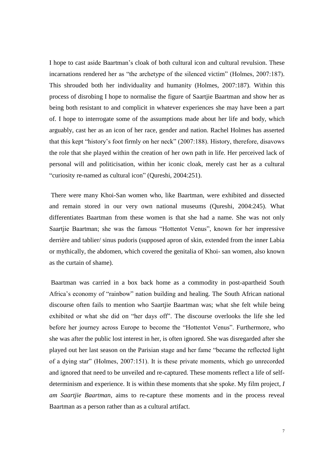I hope to cast aside Baartman"s cloak of both cultural icon and cultural revulsion. These incarnations rendered her as "the archetype of the silenced victim" (Holmes, 2007:187). This shrouded both her individuality and humanity (Holmes, 2007:187). Within this process of disrobing I hope to normalise the figure of Saartjie Baartman and show her as being both resistant to and complicit in whatever experiences she may have been a part of. I hope to interrogate some of the assumptions made about her life and body, which arguably, cast her as an icon of her race, gender and nation. Rachel Holmes has asserted that this kept "history"s foot firmly on her neck" (2007:188). History, therefore, disavows the role that she played within the creation of her own path in life. Her perceived lack of personal will and politicisation, within her iconic cloak, merely cast her as a cultural "curiosity re-named as cultural icon" (Qureshi, 2004:251).

There were many Khoi-San women who, like Baartman, were exhibited and dissected and remain stored in our very own national museums (Qureshi, 2004:245). What differentiates Baartman from these women is that she had a name. She was not only Saartjie Baartman; she was the famous "Hottentot Venus", known for her impressive derrière and tablier/ sinus pudoris (supposed apron of skin, extended from the inner Labia or mythically, the abdomen, which covered the genitalia of Khoi- san women, also known as the curtain of shame).

Baartman was carried in a box back home as a commodity in post-apartheid South Africa"s economy of "rainbow" nation building and healing. The South African national discourse often fails to mention who Saartjie Baartman was; what she felt while being exhibited or what she did on "her days off". The discourse overlooks the life she led before her journey across Europe to become the "Hottentot Venus". Furthermore, who she was after the public lost interest in her, is often ignored. She was disregarded after she played out her last season on the Parisian stage and her fame "became the reflected light of a dying star" (Holmes, 2007:151). It is these private moments, which go unrecorded and ignored that need to be unveiled and re-captured. These moments reflect a life of selfdeterminism and experience. It is within these moments that she spoke. My film project*, I am Saartjie Baartman,* aims to re-capture these moments and in the process reveal Baartman as a person rather than as a cultural artifact.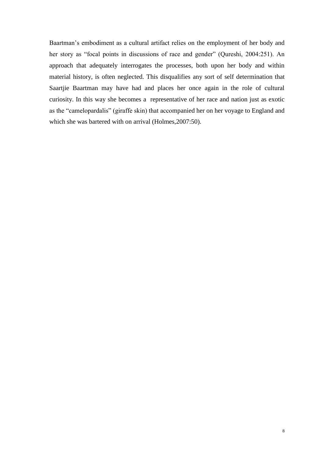Baartman"s embodiment as a cultural artifact relies on the employment of her body and her story as "focal points in discussions of race and gender" (Qureshi, 2004:251). An approach that adequately interrogates the processes, both upon her body and within material history, is often neglected. This disqualifies any sort of self determination that Saartjie Baartman may have had and places her once again in the role of cultural curiosity. In this way she becomes a representative of her race and nation just as exotic as the "camelopardalis" (giraffe skin) that accompanied her on her voyage to England and which she was bartered with on arrival (Holmes,2007:50).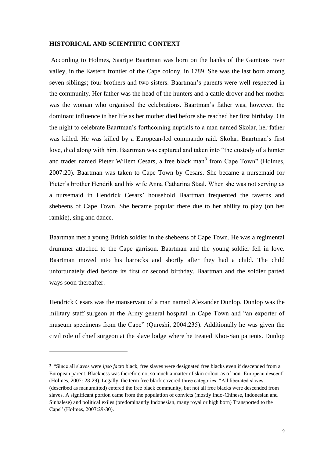#### <span id="page-13-0"></span>**HISTORICAL AND SCIENTIFIC CONTEXT**

According to Holmes, Saartjie Baartman was born on the banks of the Gamtoos river valley, in the Eastern frontier of the Cape colony, in 1789. She was the last born among seven siblings; four brothers and two sisters. Baartman"s parents were well respected in the community. Her father was the head of the hunters and a cattle drover and her mother was the woman who organised the celebrations. Baartman"s father was, however, the dominant influence in her life as her mother died before she reached her first birthday. On the night to celebrate Baartman"s forthcoming nuptials to a man named Skolar, her father was killed. He was killed by a European-led commando raid. Skolar, Baartman"s first love, died along with him. Baartman was captured and taken into "the custody of a hunter and trader named Pieter Willem Cesars, a free black man<sup>3</sup> from Cape Town" (Holmes, 2007:20). Baartman was taken to Cape Town by Cesars. She became a nursemaid for Pieter's brother Hendrik and his wife Anna Catharina Staal. When she was not serving as a nursemaid in Hendrick Cesars" household Baartman frequented the taverns and shebeens of Cape Town. She became popular there due to her ability to play (on her ramkie), sing and dance.

Baartman met a young British soldier in the shebeens of Cape Town. He was a regimental drummer attached to the Cape garrison. Baartman and the young soldier fell in love. Baartman moved into his barracks and shortly after they had a child. The child unfortunately died before its first or second birthday. Baartman and the soldier parted ways soon thereafter.

Hendrick Cesars was the manservant of a man named Alexander Dunlop. Dunlop was the military staff surgeon at the Army general hospital in Cape Town and "an exporter of museum specimens from the Cape" (Qureshi, 2004:235). Additionally he was given the civil role of chief surgeon at the slave lodge where he treated Khoi-San patients. Dunlop

-

<sup>3</sup> "Since all slaves were *ipso facto* black, free slaves were designated free blacks even if descended from a European parent. Blackness was therefore not so much a matter of skin colour as of non- European descent" (Holmes, 2007: 28-29). Legally, the term free black covered three categories. "All liberated slaves (described as manumitted) entered the free black community, but not all free blacks were descended from slaves. A significant portion came from the population of convicts (mostly Indo-Chinese, Indonesian and Sinhalese) and political exiles (predominantly Indonesian, many royal or high born) Transported to the Cape" (Holmes, 2007:29-30).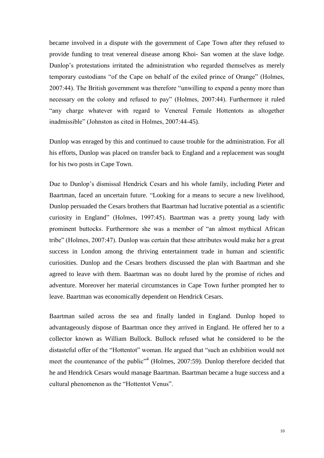became involved in a dispute with the government of Cape Town after they refused to provide funding to treat venereal disease among Khoi- San women at the slave lodge. Dunlop"s protestations irritated the administration who regarded themselves as merely temporary custodians "of the Cape on behalf of the exiled prince of Orange" (Holmes, 2007:44). The British government was therefore "unwilling to expend a penny more than necessary on the colony and refused to pay" (Holmes, 2007:44). Furthermore it ruled "any charge whatever with regard to Venereal Female Hottentots as altogether inadmissible" (Johnston as cited in Holmes, 2007:44-45).

Dunlop was enraged by this and continued to cause trouble for the administration. For all his efforts, Dunlop was placed on transfer back to England and a replacement was sought for his two posts in Cape Town.

Due to Dunlop"s dismissal Hendrick Cesars and his whole family, including Pieter and Baartman, faced an uncertain future. "Looking for a means to secure a new livelihood, Dunlop persuaded the Cesars brothers that Baartman had lucrative potential as a scientific curiosity in England" (Holmes, 1997:45). Baartman was a pretty young lady with prominent buttocks. Furthermore she was a member of "an almost mythical African tribe" (Holmes, 2007:47). Dunlop was certain that these attributes would make her a great success in London among the thriving entertainment trade in human and scientific curiosities. Dunlop and the Cesars brothers discussed the plan with Baartman and she agreed to leave with them. Baartman was no doubt lured by the promise of riches and adventure. Moreover her material circumstances in Cape Town further prompted her to leave. Baartman was economically dependent on Hendrick Cesars.

Baartman sailed across the sea and finally landed in England. Dunlop hoped to advantageously dispose of Baartman once they arrived in England. He offered her to a collector known as William Bullock. Bullock refused what he considered to be the distasteful offer of the "Hottentot" woman. He argued that "such an exhibition would not meet the countenance of the public<sup>"4</sup> (Holmes, 2007:59). Dunlop therefore decided that he and Hendrick Cesars would manage Baartman. Baartman became a huge success and a cultural phenomenon as the "Hottentot Venus".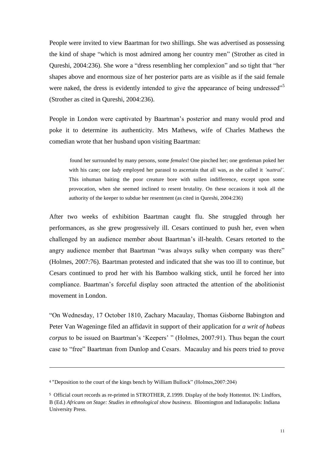People were invited to view Baartman for two shillings. She was advertised as possessing the kind of shape "which is most admired among her country men" (Strother as cited in Qureshi, 2004:236). She wore a "dress resembling her complexion" and so tight that "her shapes above and enormous size of her posterior parts are as visible as if the said female were naked, the dress is evidently intended to give the appearance of being undressed<sup>"5</sup> (Strother as cited in Qureshi, 2004:236).

People in London were captivated by Baartman"s posterior and many would prod and poke it to determine its authenticity. Mrs Mathews, wife of Charles Mathews the comedian wrote that her husband upon visiting Baartman:

 found her surrounded by many persons, some *females*! One pinched her; one gentleman poked her with his cane; one *lady* employed her parasol to ascertain that all was, as she called it *'nattral'*. This inhuman baiting the poor creature bore with sullen indifference, except upon some provocation, when she seemed inclined to resent brutality. On these occasions it took all the authority of the keeper to subdue her resentment (as cited in Qureshi, 2004:236)

After two weeks of exhibition Baartman caught flu. She struggled through her performances, as she grew progressively ill. Cesars continued to push her, even when challenged by an audience member about Baartman"s ill-health. Cesars retorted to the angry audience member that Baartman "was always sulky when company was there" (Holmes, 2007:76). Baartman protested and indicated that she was too ill to continue, but Cesars continued to prod her with his Bamboo walking stick, until he forced her into compliance. Baartman"s forceful display soon attracted the attention of the abolitionist movement in London.

"On Wednesday, 17 October 1810, Zachary Macaulay, Thomas Gisborne Babington and Peter Van Wageninge filed an affidavit in support of their application for *a writ of habeas corpus* to be issued on Baartman's 'Keepers' " (Holmes, 2007:91). Thus began the court case to "free" Baartman from Dunlop and Cesars. Macaulay and his peers tried to prove

1

<sup>4</sup> "Deposition to the court of the kings bench by William Bullock" (Holmes,2007:204)

<sup>5</sup> Official court records as re-printed in STROTHER, Z.1999. Display of the body Hottentot. IN: Lindfors, B (Ed.) *Africans on Stage: Studies in ethnological show business.* Bloomington and Indianapolis: Indiana University Press.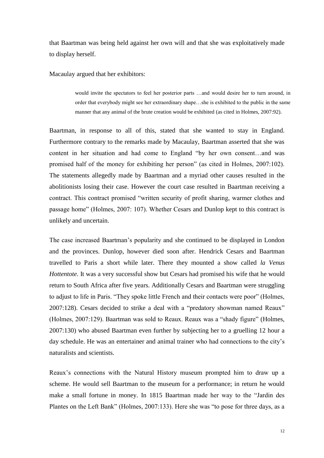that Baartman was being held against her own will and that she was exploitatively made to display herself.

Macaulay argued that her exhibitors:

would invite the spectators to feel her posterior parts …and would desire her to turn around, in order that everybody might see her extraordinary shape…she is exhibited to the public in the same manner that any animal of the brute creation would be exhibited (as cited in Holmes, 2007:92).

Baartman, in response to all of this, stated that she wanted to stay in England. Furthermore contrary to the remarks made by Macaulay, Baartman asserted that she was content in her situation and had come to England "by her own consent…and was promised half of the money for exhibiting her person" (as cited in Holmes, 2007:102). The statements allegedly made by Baartman and a myriad other causes resulted in the abolitionists losing their case. However the court case resulted in Baartman receiving a contract. This contract promised "written security of profit sharing, warmer clothes and passage home" (Holmes, 2007: 107). Whether Cesars and Dunlop kept to this contract is unlikely and uncertain.

The case increased Baartman"s popularity and she continued to be displayed in London and the provinces. Dunlop, however died soon after. Hendrick Cesars and Baartman travelled to Paris a short while later. There they mounted a show called *la Venus Hottentote*. It was a very successful show but Cesars had promised his wife that he would return to South Africa after five years. Additionally Cesars and Baartman were struggling to adjust to life in Paris. "They spoke little French and their contacts were poor" (Holmes, 2007:128). Cesars decided to strike a deal with a "predatory showman named Reaux" (Holmes, 2007:129). Baartman was sold to Reaux. Reaux was a "shady figure" (Holmes, 2007:130) who abused Baartman even further by subjecting her to a gruelling 12 hour a day schedule. He was an entertainer and animal trainer who had connections to the city's naturalists and scientists.

Reaux"s connections with the Natural History museum prompted him to draw up a scheme. He would sell Baartman to the museum for a performance; in return he would make a small fortune in money. In 1815 Baartman made her way to the "Jardin des Plantes on the Left Bank" (Holmes, 2007:133). Here she was "to pose for three days, as a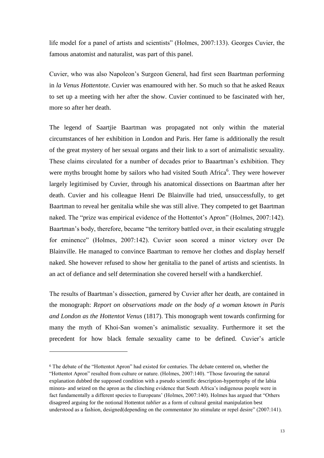life model for a panel of artists and scientists" (Holmes, 2007:133). Georges Cuvier, the famous anatomist and naturalist, was part of this panel.

Cuvier, who was also Napoleon"s Surgeon General, had first seen Baartman performing in *la Venus Hottentote*. Cuvier was enamoured with her. So much so that he asked Reaux to set up a meeting with her after the show. Cuvier continued to be fascinated with her, more so after her death.

The legend of Saartjie Baartman was propagated not only within the material circumstances of her exhibition in London and Paris. Her fame is additionally the result of the great mystery of her sexual organs and their link to a sort of animalistic sexuality. These claims circulated for a number of decades prior to Baaartman's exhibition. They were myths brought home by sailors who had visited South Africa<sup>6</sup>. They were however largely legitimised by Cuvier, through his anatomical dissections on Baartman after her death. Cuvier and his colleague Henri De Blainville had tried, unsuccessfully, to get Baartman to reveal her genitalia while she was still alive. They competed to get Baartman naked. The "prize was empirical evidence of the Hottentot's Apron" (Holmes, 2007:142). Baartman's body, therefore, became "the territory battled over, in their escalating struggle for eminence" (Holmes, 2007:142). Cuvier soon scored a minor victory over De Blainville. He managed to convince Baartman to remove her clothes and display herself naked. She however refused to show her genitalia to the panel of artists and scientists. In an act of defiance and self determination she covered herself with a handkerchief.

The results of Baartman's dissection, garnered by Cuvier after her death, are contained in the monograph: *Report on observations made on the body of a woman known in Paris and London as the Hottentot Venus* (1817). This monograph went towards confirming for many the myth of Khoi-San women's animalistic sexuality. Furthermore it set the precedent for how black female sexuality came to be defined. Cuvier's article

1

<sup>6</sup> The debate of the "Hottentot Apron" had existed for centuries. The debate centered on, whether the "Hottentot Apron" resulted from culture or nature. (Holmes, 2007:140). "Those favouring the natural explanation dubbed the supposed condition with a pseudo scientific description-hypertrophy of the labia minora- and seized on the apron as the clinching evidence that South Africa"s indigenous people were in fact fundamentally a different species to Europeans" (Holmes, 2007:140). Holmes has argued that "Others disagreed arguing for the notional Hottentot *tablier* as a form of cultural genital manipulation best understood as a fashion, designed(depending on the commentator )to stimulate or repel desire" (2007:141).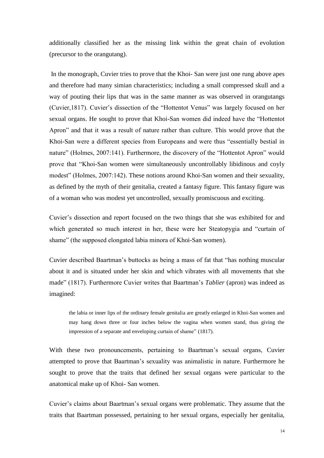additionally classified her as the missing link within the great chain of evolution (precursor to the orangutang).

In the monograph, Cuvier tries to prove that the Khoi- San were just one rung above apes and therefore had many simian characteristics; including a small compressed skull and a way of pouting their lips that was in the same manner as was observed in orangutangs (Cuvier,1817). Cuvier"s dissection of the "Hottentot Venus" was largely focused on her sexual organs. He sought to prove that Khoi-San women did indeed have the "Hottentot Apron" and that it was a result of nature rather than culture. This would prove that the Khoi-San were a different species from Europeans and were thus "essentially bestial in nature" (Holmes, 2007:141). Furthermore, the discovery of the "Hottentot Apron" would prove that "Khoi-San women were simultaneously uncontrollably libidinous and coyly modest" (Holmes, 2007:142). These notions around Khoi-San women and their sexuality, as defined by the myth of their genitalia, created a fantasy figure. This fantasy figure was of a woman who was modest yet uncontrolled, sexually promiscuous and exciting.

Cuvier"s dissection and report focused on the two things that she was exhibited for and which generated so much interest in her, these were her Steatopygia and "curtain of shame" (the supposed elongated labia minora of Khoi-San women).

Cuvier described Baartman"s buttocks as being a mass of fat that "has nothing muscular about it and is situated under her skin and which vibrates with all movements that she made" (1817). Furthermore Cuvier writes that Baartman"s *Tablier* (apron) was indeed as imagined:

the labia or inner lips of the ordinary female genitalia are greatly enlarged in Khoi-San women and may hang down three or four inches below the vagina when women stand, thus giving the impression of a separate and enveloping curtain of shame" (1817).

With these two pronouncements, pertaining to Baartman"s sexual organs, Cuvier attempted to prove that Baartman"s sexuality was animalistic in nature. Furthermore he sought to prove that the traits that defined her sexual organs were particular to the anatomical make up of Khoi- San women.

Cuvier"s claims about Baartman"s sexual organs were problematic. They assume that the traits that Baartman possessed, pertaining to her sexual organs, especially her genitalia,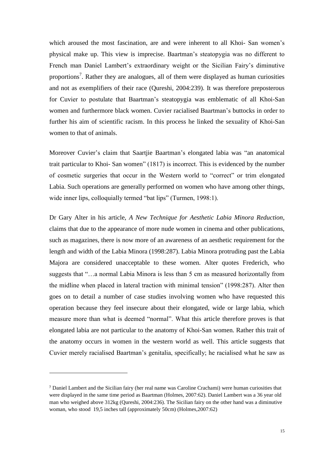which aroused the most fascination, are and were inherent to all Khoi- San women's physical make up. This view is imprecise. Baartman"s steatopygia was no different to French man Daniel Lambert"s extraordinary weight or the Sicilian Fairy"s diminutive proportions<sup>7</sup>. Rather they are analogues, all of them were displayed as human curiosities and not as exemplifiers of their race (Qureshi, 2004:239). It was therefore preposterous for Cuvier to postulate that Baartman"s steatopygia was emblematic of all Khoi-San women and furthermore black women. Cuvier racialised Baartman's buttocks in order to further his aim of scientific racism. In this process he linked the sexuality of Khoi-San women to that of animals.

Moreover Cuvier"s claim that Saartjie Baartman"s elongated labia was "an anatomical trait particular to Khoi- San women" (1817) is incorrect. This is evidenced by the number of cosmetic surgeries that occur in the Western world to "correct" or trim elongated Labia. Such operations are generally performed on women who have among other things, wide inner lips, colloquially termed "bat lips" (Turmen, 1998:1).

Dr Gary Alter in his article, *A New Technique for Aesthetic Labia Minora Reduction*, claims that due to the appearance of more nude women in cinema and other publications, such as magazines, there is now more of an awareness of an aesthetic requirement for the length and width of the Labia Minora (1998:287). Labia Minora protruding past the Labia Majora are considered unacceptable to these women. Alter quotes Frederich, who suggests that "…a normal Labia Minora is less than 5 cm as measured horizontally from the midline when placed in lateral traction with minimal tension" (1998:287). Alter then goes on to detail a number of case studies involving women who have requested this operation because they feel insecure about their elongated, wide or large labia, which measure more than what is deemed "normal". What this article therefore proves is that elongated labia are not particular to the anatomy of Khoi-San women. Rather this trait of the anatomy occurs in women in the western world as well. This article suggests that Cuvier merely racialised Baartman"s genitalia, specifically; he racialised what he saw as

1

<sup>7</sup> Daniel Lambert and the Sicilian fairy (her real name was Caroline Crachami) were human curiosities that were displayed in the same time period as Baartman (Holmes, 2007:62). Daniel Lambert was a 36 year old man who weighed above 312kg (Qureshi, 2004:236). The Sicilian fairy on the other hand was a diminutive woman, who stood 19,5 inches tall (approximately 50cm) (Holmes,2007:62)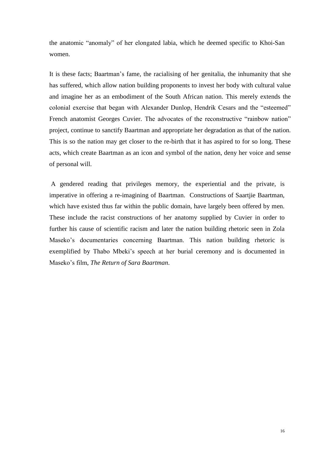the anatomic "anomaly" of her elongated labia, which he deemed specific to Khoi-San women.

It is these facts; Baartman"s fame, the racialising of her genitalia, the inhumanity that she has suffered, which allow nation building proponents to invest her body with cultural value and imagine her as an embodiment of the South African nation. This merely extends the colonial exercise that began with Alexander Dunlop, Hendrik Cesars and the "esteemed" French anatomist Georges Cuvier. The advocates of the reconstructive "rainbow nation" project, continue to sanctify Baartman and appropriate her degradation as that of the nation. This is so the nation may get closer to the re-birth that it has aspired to for so long. These acts, which create Baartman as an icon and symbol of the nation, deny her voice and sense of personal will.

A gendered reading that privileges memory, the experiential and the private, is imperative in offering a re-imagining of Baartman. Constructions of Saartjie Baartman, which have existed thus far within the public domain, have largely been offered by men. These include the racist constructions of her anatomy supplied by Cuvier in order to further his cause of scientific racism and later the nation building rhetoric seen in Zola Maseko"s documentaries concerning Baartman. This nation building rhetoric is exemplified by Thabo Mbeki's speech at her burial ceremony and is documented in Maseko"s film, *The Return of Sara Baartman*.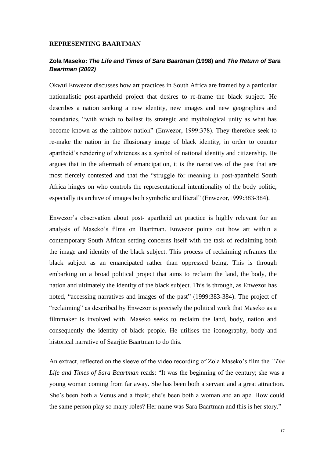#### <span id="page-21-0"></span>**REPRESENTING BAARTMAN**

# <span id="page-21-1"></span>**Zola Maseko:** *The Life and Times of Sara Baartman* **(1998) and** *The Return of Sara Baartman (2002)*

Okwui Enwezor discusses how art practices in South Africa are framed by a particular nationalistic post-apartheid project that desires to re-frame the black subject. He describes a nation seeking a new identity, new images and new geographies and boundaries, "with which to ballast its strategic and mythological unity as what has become known as the rainbow nation" (Enwezor, 1999:378). They therefore seek to re-make the nation in the illusionary image of black identity, in order to counter apartheid"s rendering of whiteness as a symbol of national identity and citizenship. He argues that in the aftermath of emancipation, it is the narratives of the past that are most fiercely contested and that the "struggle for meaning in post-apartheid South Africa hinges on who controls the representational intentionality of the body politic, especially its archive of images both symbolic and literal" (Enwezor,1999:383-384).

Enwezor"s observation about post- apartheid art practice is highly relevant for an analysis of Maseko"s films on Baartman. Enwezor points out how art within a contemporary South African setting concerns itself with the task of reclaiming both the image and identity of the black subject. This process of reclaiming reframes the black subject as an emancipated rather than oppressed being. This is through embarking on a broad political project that aims to reclaim the land, the body, the nation and ultimately the identity of the black subject. This is through, as Enwezor has noted, "accessing narratives and images of the past" (1999:383-384). The project of "reclaiming" as described by Enwezor is precisely the political work that Maseko as a filmmaker is involved with. Maseko seeks to reclaim the land, body, nation and consequently the identity of black people. He utilises the iconography, body and historical narrative of Saarjtie Baartman to do this.

An extract, reflected on the sleeve of the video recording of Zola Maseko"s film the *"The Life and Times of Sara Baartman* reads: "It was the beginning of the century; she was a young woman coming from far away. She has been both a servant and a great attraction. She's been both a Venus and a freak; she's been both a woman and an ape. How could the same person play so many roles? Her name was Sara Baartman and this is her story."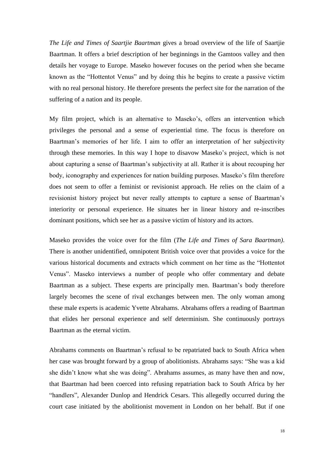*The Life and Times of Saartjie Baartman* gives a broad overview of the life of Saartjie Baartman. It offers a brief description of her beginnings in the Gamtoos valley and then details her voyage to Europe. Maseko however focuses on the period when she became known as the "Hottentot Venus" and by doing this he begins to create a passive victim with no real personal history. He therefore presents the perfect site for the narration of the suffering of a nation and its people.

My film project, which is an alternative to Maseko"s, offers an intervention which privileges the personal and a sense of experiential time. The focus is therefore on Baartman"s memories of her life. I aim to offer an interpretation of her subjectivity through these memories. In this way I hope to disavow Maseko"s project, which is not about capturing a sense of Baartman"s subjectivity at all. Rather it is about recouping her body, iconography and experiences for nation building purposes. Maseko's film therefore does not seem to offer a feminist or revisionist approach. He relies on the claim of a revisionist history project but never really attempts to capture a sense of Baartman"s interiority or personal experience. He situates her in linear history and re-inscribes dominant positions, which see her as a passive victim of history and its actors.

Maseko provides the voice over for the film (*The Life and Times of Sara Baartman)*. There is another unidentified, omnipotent British voice over that provides a voice for the various historical documents and extracts which comment on her time as the "Hottentot Venus". Maseko interviews a number of people who offer commentary and debate Baartman as a subject. These experts are principally men. Baartman"s body therefore largely becomes the scene of rival exchanges between men. The only woman among these male experts is academic Yvette Abrahams. Abrahams offers a reading of Baartman that elides her personal experience and self determinism. She continuously portrays Baartman as the eternal victim.

Abrahams comments on Baartman"s refusal to be repatriated back to South Africa when her case was brought forward by a group of abolitionists. Abrahams says: "She was a kid she didn"t know what she was doing". Abrahams assumes, as many have then and now, that Baartman had been coerced into refusing repatriation back to South Africa by her "handlers", Alexander Dunlop and Hendrick Cesars. This allegedly occurred during the court case initiated by the abolitionist movement in London on her behalf. But if one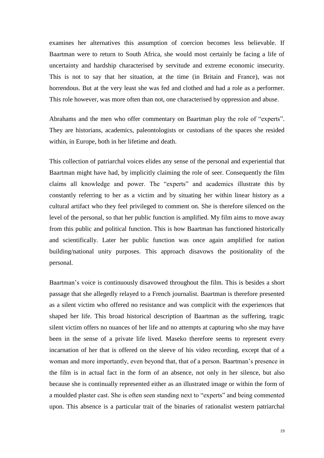examines her alternatives this assumption of coercion becomes less believable. If Baartman were to return to South Africa, she would most certainly be facing a life of uncertainty and hardship characterised by servitude and extreme economic insecurity. This is not to say that her situation, at the time (in Britain and France), was not horrendous. But at the very least she was fed and clothed and had a role as a performer. This role however, was more often than not, one characterised by oppression and abuse.

Abrahams and the men who offer commentary on Baartman play the role of "experts". They are historians, academics, paleontologists or custodians of the spaces she resided within, in Europe, both in her lifetime and death.

This collection of patriarchal voices elides any sense of the personal and experiential that Baartman might have had, by implicitly claiming the role of seer. Consequently the film claims all knowledge and power. The "experts" and academics illustrate this by constantly referring to her as a victim and by situating her within linear history as a cultural artifact who they feel privileged to comment on. She is therefore silenced on the level of the personal, so that her public function is amplified. My film aims to move away from this public and political function. This is how Baartman has functioned historically and scientifically. Later her public function was once again amplified for nation building/national unity purposes. This approach disavows the positionality of the personal.

Baartman"s voice is continuously disavowed throughout the film. This is besides a short passage that she allegedly relayed to a French journalist. Baartman is therefore presented as a silent victim who offered no resistance and was complicit with the experiences that shaped her life. This broad historical description of Baartman as the suffering, tragic silent victim offers no nuances of her life and no attempts at capturing who she may have been in the sense of a private life lived. Maseko therefore seems to represent every incarnation of her that is offered on the sleeve of his video recording, except that of a woman and more importantly, even beyond that, that of a person. Baartman"s presence in the film is in actual fact in the form of an absence, not only in her silence, but also because she is continually represented either as an illustrated image or within the form of a moulded plaster cast. She is often seen standing next to "experts" and being commented upon. This absence is a particular trait of the binaries of rationalist western patriarchal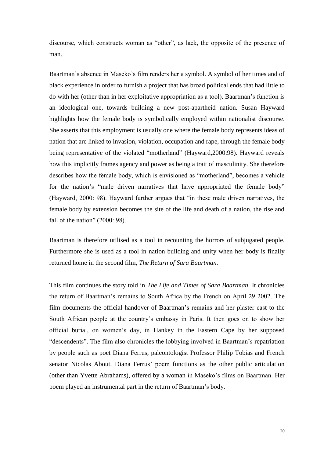discourse, which constructs woman as "other", as lack, the opposite of the presence of man.

Baartman"s absence in Maseko"s film renders her a symbol. A symbol of her times and of black experience in order to furnish a project that has broad political ends that had little to do with her (other than in her exploitative appropriation as a tool). Baartman"s function is an ideological one, towards building a new post-apartheid nation. Susan Hayward highlights how the female body is symbolically employed within nationalist discourse. She asserts that this employment is usually one where the female body represents ideas of nation that are linked to invasion, violation, occupation and rape, through the female body being representative of the violated "motherland" (Hayward,2000:98). Hayward reveals how this implicitly frames agency and power as being a trait of masculinity. She therefore describes how the female body, which is envisioned as "motherland", becomes a vehicle for the nation's "male driven narratives that have appropriated the female body" (Hayward, 2000: 98). Hayward further argues that "in these male driven narratives, the female body by extension becomes the site of the life and death of a nation, the rise and fall of the nation" (2000: 98).

Baartman is therefore utilised as a tool in recounting the horrors of subjugated people. Furthermore she is used as a tool in nation building and unity when her body is finally returned home in the second film, *The Return of Sara Baartman.*

This film continues the story told in *The Life and Times of Sara Baartman.* It chronicles the return of Baartman"s remains to South Africa by the French on April 29 2002. The film documents the official handover of Baartman"s remains and her plaster cast to the South African people at the country"s embassy in Paris. It then goes on to show her official burial, on women"s day, in Hankey in the Eastern Cape by her supposed "descendents". The film also chronicles the lobbying involved in Baartman"s repatriation by people such as poet Diana Ferrus, paleontologist Professor Philip Tobias and French senator Nicolas About. Diana Ferrus' poem functions as the other public articulation (other than Yvette Abrahams), offered by a woman in Maseko"s films on Baartman. Her poem played an instrumental part in the return of Baartman"s body.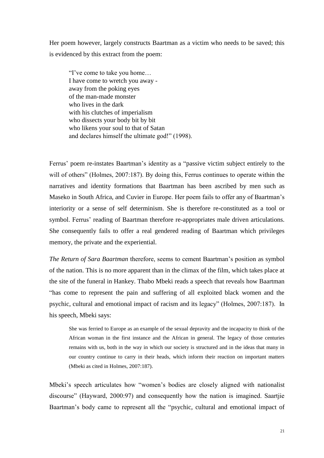Her poem however, largely constructs Baartman as a victim who needs to be saved; this is evidenced by this extract from the poem:

"I"ve come to take you home… I have come to wretch you away away from the poking eyes of the man-made monster who lives in the dark with his clutches of imperialism who dissects your body bit by bit who likens your soul to that of Satan and declares himself the ultimate god!" (1998).

Ferrus' poem re-instates Baartman's identity as a "passive victim subject entirely to the will of others" (Holmes, 2007:187). By doing this, Ferrus continues to operate within the narratives and identity formations that Baartman has been ascribed by men such as Maseko in South Africa, and Cuvier in Europe. Her poem fails to offer any of Baartman"s interiority or a sense of self determinism. She is therefore re-constituted as a tool or symbol. Ferrus' reading of Baartman therefore re-appropriates male driven articulations. She consequently fails to offer a real gendered reading of Baartman which privileges memory, the private and the experiential.

*The Return of Sara Baartman* therefore, seems to cement Baartman"s position as symbol of the nation. This is no more apparent than in the climax of the film, which takes place at the site of the funeral in Hankey. Thabo Mbeki reads a speech that reveals how Baartman "has come to represent the pain and suffering of all exploited black women and the psychic, cultural and emotional impact of racism and its legacy" (Holmes, 2007:187). In his speech, Mbeki says:

She was ferried to Europe as an example of the sexual depravity and the incapacity to think of the African woman in the first instance and the African in general. The legacy of those centuries remains with us, both in the way in which our society is structured and in the ideas that many in our country continue to carry in their heads, which inform their reaction on important matters (Mbeki as cited in Holmes, 2007:187).

Mbeki"s speech articulates how "women"s bodies are closely aligned with nationalist discourse" (Hayward, 2000:97) and consequently how the nation is imagined. Saartjie Baartman"s body came to represent all the "psychic, cultural and emotional impact of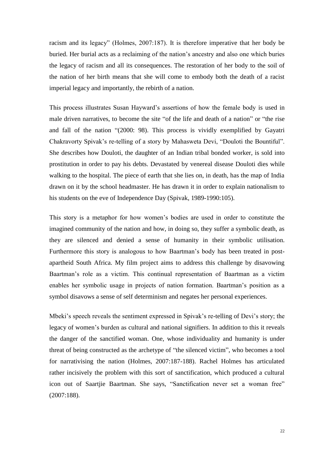racism and its legacy" (Holmes, 2007:187). It is therefore imperative that her body be buried. Her burial acts as a reclaiming of the nation"s ancestry and also one which buries the legacy of racism and all its consequences. The restoration of her body to the soil of the nation of her birth means that she will come to embody both the death of a racist imperial legacy and importantly, the rebirth of a nation.

This process illustrates Susan Hayward"s assertions of how the female body is used in male driven narratives, to become the site "of the life and death of a nation" or "the rise and fall of the nation "(2000: 98). This process is vividly exemplified by Gayatri Chakravorty Spivak"s re-telling of a story by Mahasweta Devi, "Douloti the Bountiful". She describes how Douloti, the daughter of an Indian tribal bonded worker, is sold into prostitution in order to pay his debts. Devastated by venereal disease Douloti dies while walking to the hospital. The piece of earth that she lies on, in death, has the map of India drawn on it by the school headmaster. He has drawn it in order to explain nationalism to his students on the eve of Independence Day (Spivak, 1989-1990:105).

This story is a metaphor for how women"s bodies are used in order to constitute the imagined community of the nation and how, in doing so, they suffer a symbolic death, as they are silenced and denied a sense of humanity in their symbolic utilisation. Furthermore this story is analogous to how Baartman"s body has been treated in postapartheid South Africa. My film project aims to address this challenge by disavowing Baartman"s role as a victim. This continual representation of Baartman as a victim enables her symbolic usage in projects of nation formation. Baartman"s position as a symbol disavows a sense of self determinism and negates her personal experiences.

Mbeki's speech reveals the sentiment expressed in Spivak's re-telling of Devi's story; the legacy of women"s burden as cultural and national signifiers. In addition to this it reveals the danger of the sanctified woman. One, whose individuality and humanity is under threat of being constructed as the archetype of "the silenced victim", who becomes a tool for narrativising the nation (Holmes, 2007:187-188). Rachel Holmes has articulated rather incisively the problem with this sort of sanctification, which produced a cultural icon out of Saartjie Baartman. She says, "Sanctification never set a woman free" (2007:188).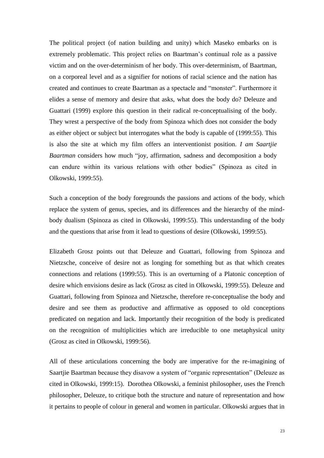The political project (of nation building and unity) which Maseko embarks on is extremely problematic. This project relies on Baartman's continual role as a passive victim and on the over-determinism of her body. This over-determinism, of Baartman, on a corporeal level and as a signifier for notions of racial science and the nation has created and continues to create Baartman as a spectacle and "monster". Furthermore it elides a sense of memory and desire that asks, what does the body do? Deleuze and Guattari (1999) explore this question in their radical re-conceptualising of the body. They wrest a perspective of the body from Spinoza which does not consider the body as either object or subject but interrogates what the body is capable of (1999:55). This is also the site at which my film offers an interventionist position. *I am Saartjie Baartman* considers how much "joy, affirmation, sadness and decomposition a body can endure within its various relations with other bodies" (Spinoza as cited in Olkowski, 1999:55).

Such a conception of the body foregrounds the passions and actions of the body, which replace the system of genus, species, and its differences and the hierarchy of the mindbody dualism (Spinoza as cited in Olkowski, 1999:55). This understanding of the body and the questions that arise from it lead to questions of desire (Olkowski, 1999:55).

Elizabeth Grosz points out that Deleuze and Guattari, following from Spinoza and Nietzsche, conceive of desire not as longing for something but as that which creates connections and relations (1999:55). This is an overturning of a Platonic conception of desire which envisions desire as lack (Grosz as cited in Olkowski, 1999:55). Deleuze and Guattari, following from Spinoza and Nietzsche, therefore re-conceptualise the body and desire and see them as productive and affirmative as opposed to old conceptions predicated on negation and lack. Importantly their recognition of the body is predicated on the recognition of multiplicities which are irreducible to one metaphysical unity (Grosz as cited in Olkowski, 1999:56).

All of these articulations concerning the body are imperative for the re-imagining of Saartjie Baartman because they disavow a system of "organic representation" (Deleuze as cited in Olkowski, 1999:15). Dorothea Olkowski, a feminist philosopher, uses the French philosopher, Deleuze, to critique both the structure and nature of representation and how it pertains to people of colour in general and women in particular. Olkowski argues that in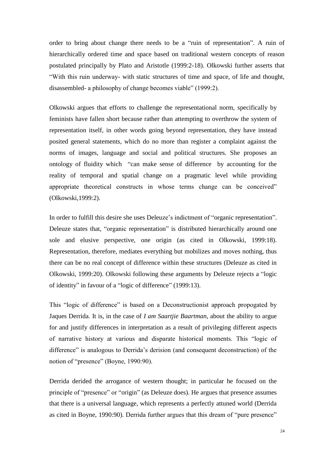order to bring about change there needs to be a "ruin of representation". A ruin of hierarchically ordered time and space based on traditional western concepts of reason postulated principally by Plato and Aristotle (1999:2-18). Olkowski further asserts that "With this ruin underway- with static structures of time and space, of life and thought, disassembled- a philosophy of change becomes viable" (1999:2).

Olkowski argues that efforts to challenge the representational norm, specifically by feminists have fallen short because rather than attempting to overthrow the system of representation itself, in other words going beyond representation, they have instead posited general statements, which do no more than register a complaint against the norms of images, language and social and political structures. She proposes an ontology of fluidity which "can make sense of difference by accounting for the reality of temporal and spatial change on a pragmatic level while providing appropriate theoretical constructs in whose terms change can be conceived" (Olkowski,1999:2).

In order to fulfill this desire she uses Deleuze's indictment of "organic representation". Deleuze states that, "organic representation" is distributed hierarchically around one sole and elusive perspective, one origin (as cited in Olkowski, 1999:18). Representation, therefore, mediates everything but mobilizes and moves nothing, thus there can be no real concept of difference within these structures (Deleuze as cited in Olkowski, 1999:20). Olkowski following these arguments by Deleuze rejects a "logic of identity" in favour of a "logic of difference" (1999:13).

This "logic of difference" is based on a Deconstructionist approach propogated by Jaques Derrida. It is, in the case of *I am Saartjie Baartman,* about the ability to argue for and justify differences in interpretation as a result of privileging different aspects of narrative history at various and disparate historical moments. This "logic of difference" is analogous to Derrida"s derision (and consequent deconstruction) of the notion of "presence" (Boyne, 1990:90).

Derrida derided the arrogance of western thought; in particular he focused on the principle of "presence" or "origin" (as Deleuze does). He argues that presence assumes that there is a universal language, which represents a perfectly attuned world (Derrida as cited in Boyne, 1990:90). Derrida further argues that this dream of "pure presence"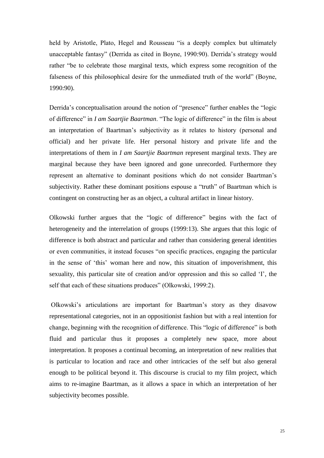held by Aristotle, Plato, Hegel and Rousseau "is a deeply complex but ultimately unacceptable fantasy" (Derrida as cited in Boyne, 1990:90). Derrida"s strategy would rather "be to celebrate those marginal texts, which express some recognition of the falseness of this philosophical desire for the unmediated truth of the world" (Boyne, 1990:90).

Derrida's conceptualisation around the notion of "presence" further enables the "logic of difference" in *I am Saartjie Baartman*. "The logic of difference" in the film is about an interpretation of Baartman"s subjectivity as it relates to history (personal and official) and her private life. Her personal history and private life and the interpretations of them in *I am Saartjie Baartman* represent marginal texts. They are marginal because they have been ignored and gone unrecorded. Furthermore they represent an alternative to dominant positions which do not consider Baartman"s subjectivity. Rather these dominant positions espouse a "truth" of Baartman which is contingent on constructing her as an object, a cultural artifact in linear history.

Olkowski further argues that the "logic of difference" begins with the fact of heterogeneity and the interrelation of groups (1999:13). She argues that this logic of difference is both abstract and particular and rather than considering general identities or even communities, it instead focuses "on specific practices, engaging the particular in the sense of "this" woman here and now, this situation of impoverishment, this sexuality, this particular site of creation and/or oppression and this so called 'I', the self that each of these situations produces" (Olkowski, 1999:2).

Olkowski"s articulations are important for Baartman"s story as they disavow representational categories, not in an oppositionist fashion but with a real intention for change, beginning with the recognition of difference. This "logic of difference" is both fluid and particular thus it proposes a completely new space, more about interpretation. It proposes a continual becoming, an interpretation of new realities that is particular to location and race and other intricacies of the self but also general enough to be political beyond it. This discourse is crucial to my film project, which aims to re-imagine Baartman, as it allows a space in which an interpretation of her subjectivity becomes possible.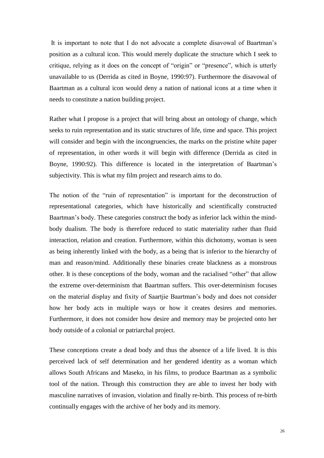It is important to note that I do not advocate a complete disavowal of Baartman"s position as a cultural icon. This would merely duplicate the structure which I seek to critique, relying as it does on the concept of "origin" or "presence", which is utterly unavailable to us (Derrida as cited in Boyne, 1990:97). Furthermore the disavowal of Baartman as a cultural icon would deny a nation of national icons at a time when it needs to constitute a nation building project.

Rather what I propose is a project that will bring about an ontology of change, which seeks to ruin representation and its static structures of life, time and space. This project will consider and begin with the incongruencies, the marks on the pristine white paper of representation, in other words it will begin with difference (Derrida as cited in Boyne, 1990:92). This difference is located in the interpretation of Baartman"s subjectivity. This is what my film project and research aims to do.

The notion of the "ruin of representation" is important for the deconstruction of representational categories, which have historically and scientifically constructed Baartman's body. These categories construct the body as inferior lack within the mindbody dualism. The body is therefore reduced to static materiality rather than fluid interaction, relation and creation. Furthermore, within this dichotomy, woman is seen as being inherently linked with the body, as a being that is inferior to the hierarchy of man and reason/mind. Additionally these binaries create blackness as a monstrous other. It is these conceptions of the body, woman and the racialised "other" that allow the extreme over-determinism that Baartman suffers. This over-determinism focuses on the material display and fixity of Saartjie Baartman"s body and does not consider how her body acts in multiple ways or how it creates desires and memories. Furthermore, it does not consider how desire and memory may be projected onto her body outside of a colonial or patriarchal project.

These conceptions create a dead body and thus the absence of a life lived. It is this perceived lack of self determination and her gendered identity as a woman which allows South Africans and Maseko, in his films, to produce Baartman as a symbolic tool of the nation. Through this construction they are able to invest her body with masculine narratives of invasion, violation and finally re-birth. This process of re-birth continually engages with the archive of her body and its memory.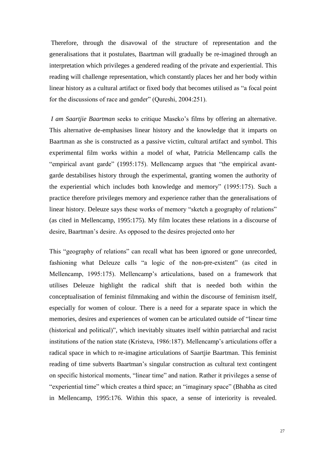Therefore, through the disavowal of the structure of representation and the generalisations that it postulates, Baartman will gradually be re-imagined through an interpretation which privileges a gendered reading of the private and experiential. This reading will challenge representation, which constantly places her and her body within linear history as a cultural artifact or fixed body that becomes utilised as "a focal point for the discussions of race and gender" (Qureshi, 2004:251).

*I am Saartjie Baartman* seeks to critique Maseko"s films by offering an alternative. This alternative de-emphasises linear history and the knowledge that it imparts on Baartman as she is constructed as a passive victim, cultural artifact and symbol. This experimental film works within a model of what, Patricia Mellencamp calls the "empirical avant garde" (1995:175). Mellencamp argues that "the empirical avantgarde destabilises history through the experimental, granting women the authority of the experiential which includes both knowledge and memory" (1995:175). Such a practice therefore privileges memory and experience rather than the generalisations of linear history. Deleuze says these works of memory "sketch a geography of relations" (as cited in Mellencamp, 1995:175). My film locates these relations in a discourse of desire, Baartman"s desire. As opposed to the desires projected onto her

This "geography of relations" can recall what has been ignored or gone unrecorded, fashioning what Deleuze calls "a logic of the non-pre-existent" (as cited in Mellencamp, 1995:175). Mellencamp"s articulations, based on a framework that utilises Deleuze highlight the radical shift that is needed both within the conceptualisation of feminist filmmaking and within the discourse of feminism itself, especially for women of colour. There is a need for a separate space in which the memories, desires and experiences of women can be articulated outside of "linear time (historical and political)", which inevitably situates itself within patriarchal and racist institutions of the nation state (Kristeva, 1986:187). Mellencamp's articulations offer a radical space in which to re-imagine articulations of Saartjie Baartman. This feminist reading of time subverts Baartman's singular construction as cultural text contingent on specific historical moments, "linear time" and nation. Rather it privileges a sense of "experiential time" which creates a third space; an "imaginary space" (Bhabha as cited in Mellencamp, 1995:176. Within this space, a sense of interiority is revealed.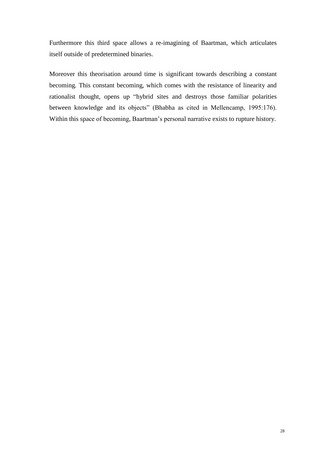Furthermore this third space allows a re-imagining of Baartman, which articulates itself outside of predetermined binaries.

Moreover this theorisation around time is significant towards describing a constant becoming*.* This constant becoming, which comes with the resistance of linearity and rationalist thought, opens up "hybrid sites and destroys those familiar polarities between knowledge and its objects" (Bhabha as cited in Mellencamp, 1995:176). Within this space of becoming, Baartman's personal narrative exists to rupture history.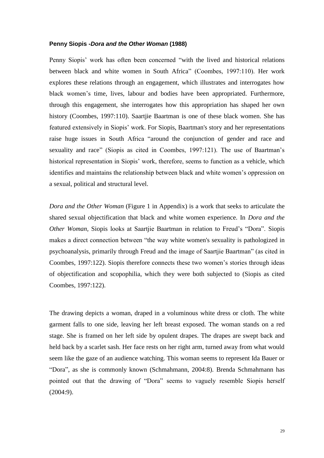### <span id="page-33-0"></span>**Penny Siopis -***Dora and the Other Woman* **(1988)**

Penny Siopis" work has often been concerned "with the lived and historical relations between black and white women in South Africa" (Coombes, 1997:110). Her work explores these relations through an engagement, which illustrates and interrogates how black women"s time, lives, labour and bodies have been appropriated. Furthermore, through this engagement, she interrogates how this appropriation has shaped her own history (Coombes, 1997:110). Saartjie Baartman is one of these black women. She has featured extensively in Siopis" work. For Siopis, Baartman's story and her representations raise huge issues in South Africa "around the conjunction of gender and race and sexuality and race" (Siopis as cited in Coombes, 1997:121). The use of Baartman's historical representation in Siopis' work, therefore, seems to function as a vehicle, which identifies and maintains the relationship between black and white women"s oppression on a sexual, political and structural level.

*Dora and the Other Woman* [\(Figure 1](#page-54-1) in Appendix) is a work that seeks to articulate the shared sexual objectification that black and white women experience. In *Dora and the Other Woman, Siopis looks at Saartjie Baartman in relation to Freud's "Dora". Siopis* makes a direct connection between "the way white women's sexuality is pathologized in psychoanalysis, primarily through Freud and the image of Saartjie Baartman" (as cited in Coombes, 1997:122). Siopis therefore connects these two women"s stories through ideas of objectification and scopophilia, which they were both subjected to (Siopis as cited Coombes, 1997:122).

The drawing depicts a woman, draped in a voluminous white dress or cloth. The white garment falls to one side, leaving her left breast exposed. The woman stands on a red stage. She is framed on her left side by opulent drapes. The drapes are swept back and held back by a scarlet sash. Her face rests on her right arm, turned away from what would seem like the gaze of an audience watching. This woman seems to represent Ida Bauer or "Dora", as she is commonly known (Schmahmann, 2004:8). Brenda Schmahmann has pointed out that the drawing of "Dora" seems to vaguely resemble Siopis herself (2004:9).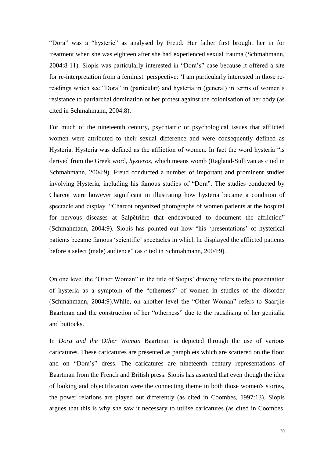"Dora" was a "hysteric" as analysed by Freud. Her father first brought her in for treatment when she was eighteen after she had experienced sexual trauma (Schmahmann, 2004:8-11). Siopis was particularly interested in "Dora"s" case because it offered a site for re-interpretation from a feminist perspective: "I am particularly interested in those rereadings which see "Dora" in (particular) and hysteria in (general) in terms of women"s resistance to patriarchal domination or her protest against the colonisation of her body (as cited in Schmahmann, 2004:8).

For much of the nineteenth century, psychiatric or psychological issues that afflicted women were attributed to their sexual difference and were consequently defined as Hysteria. Hysteria was defined as the affliction of women. In fact the word hysteria "is derived from the Greek word, *hysteros*, which means womb (Ragland-Sullivan as cited in Schmahmann, 2004:9). Freud conducted a number of important and prominent studies involving Hysteria, including his famous studies of "Dora". The studies conducted by Charcot were however significant in illustrating how hysteria became a condition of spectacle and display. "Charcot organized photographs of women patients at the hospital for nervous diseases at Salpêtrière that endeavoured to document the affliction" (Schmahmann, 2004:9). Siopis has pointed out how "his "presentations" of hysterical patients became famous "scientific" spectacles in which he displayed the afflicted patients before a select (male) audience" (as cited in Schmahmann, 2004:9).

On one level the "Other Woman" in the title of Siopis" drawing refers to the presentation of hysteria as a symptom of the "otherness" of women in studies of the disorder (Schmahmann, 2004:9).While, on another level the "Other Woman" refers to Saartjie Baartman and the construction of her "otherness" due to the racialising of her genitalia and buttocks.

In *Dora and the Other Woman* Baartman is depicted through the use of various caricatures. These caricatures are presented as pamphlets which are scattered on the floor and on "Dora"s" dress. The caricatures are nineteenth century representations of Baartman from the French and British press. Siopis has asserted that even though the idea of looking and objectification were the connecting theme in both those women's stories, the power relations are played out differently (as cited in Coombes, 1997:13). Siopis argues that this is why she saw it necessary to utilise caricatures (as cited in Coombes,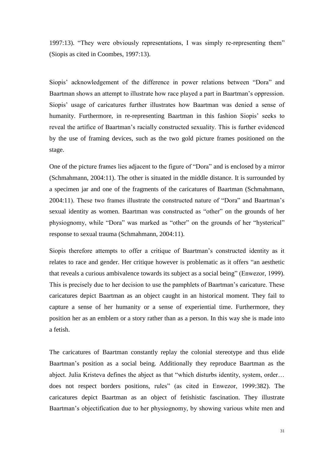1997:13). "They were obviously representations, I was simply re-representing them" (Siopis as cited in Coombes, 1997:13).

Siopis" acknowledgement of the difference in power relations between "Dora" and Baartman shows an attempt to illustrate how race played a part in Baartman's oppression. Siopis' usage of caricatures further illustrates how Baartman was denied a sense of humanity. Furthermore, in re-representing Baartman in this fashion Siopis" seeks to reveal the artifice of Baartman"s racially constructed sexuality. This is further evidenced by the use of framing devices, such as the two gold picture frames positioned on the stage.

One of the picture frames lies adjacent to the figure of "Dora" and is enclosed by a mirror (Schmahmann, 2004:11). The other is situated in the middle distance. It is surrounded by a specimen jar and one of the fragments of the caricatures of Baartman (Schmahmann, 2004:11). These two frames illustrate the constructed nature of "Dora" and Baartman"s sexual identity as women. Baartman was constructed as "other" on the grounds of her physiognomy, while "Dora" was marked as "other" on the grounds of her "hysterical" response to sexual trauma (Schmahmann, 2004:11).

Siopis therefore attempts to offer a critique of Baartman"s constructed identity as it relates to race and gender. Her critique however is problematic as it offers "an aesthetic that reveals a curious ambivalence towards its subject as a social being" (Enwezor, 1999). This is precisely due to her decision to use the pamphlets of Baartman"s caricature. These caricatures depict Baartman as an object caught in an historical moment. They fail to capture a sense of her humanity or a sense of experiential time. Furthermore, they position her as an emblem or a story rather than as a person. In this way she is made into a fetish.

The caricatures of Baartman constantly replay the colonial stereotype and thus elide Baartman"s position as a social being. Additionally they reproduce Baartman as the abject. Julia Kristeva defines the abject as that "which disturbs identity, system, order… does not respect borders positions, rules" (as cited in Enwezor, 1999:382). The caricatures depict Baartman as an object of fetishistic fascination. They illustrate Baartman's objectification due to her physiognomy, by showing various white men and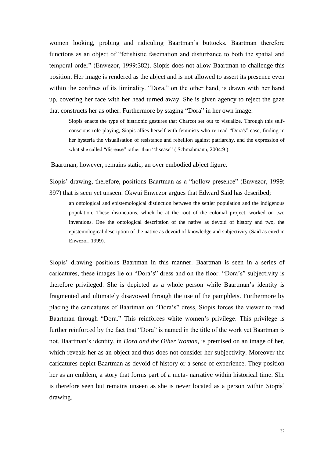women looking, probing and ridiculing Baartman"s buttocks. Baartman therefore functions as an object of "fetishistic fascination and disturbance to both the spatial and temporal order" (Enwezor, 1999:382). Siopis does not allow Baartman to challenge this position. Her image is rendered as the abject and is not allowed to assert its presence even within the confines of its liminality. "Dora," on the other hand, is drawn with her hand up, covering her face with her head turned away. She is given agency to reject the gaze that constructs her as other. Furthermore by staging "Dora" in her own image:

Siopis enacts the type of histrionic gestures that Charcot set out to visualize. Through this selfconscious role-playing, Siopis allies herself with feminists who re-read "Dora's" case, finding in her hysteria the visualisation of resistance and rebellion against patriarchy, and the expression of what she called "dis-ease" rather than "disease" (Schmahmann, 2004:9).

Baartman, however, remains static, an over embodied abject figure.

Siopis" drawing, therefore, positions Baartman as a "hollow presence" (Enwezor, 1999: 397) that is seen yet unseen. Okwui Enwezor argues that Edward Said has described;

an ontological and epistemological distinction between the settler population and the indigenous population. These distinctions, which lie at the root of the colonial project, worked on two inventions. One the ontological description of the native as devoid of history and two, the epistemological description of the native as devoid of knowledge and subjectivity (Said as cited in Enwezor, 1999).

Siopis" drawing positions Baartman in this manner. Baartman is seen in a series of caricatures, these images lie on "Dora"s" dress and on the floor. "Dora"s" subjectivity is therefore privileged. She is depicted as a whole person while Baartman"s identity is fragmented and ultimately disavowed through the use of the pamphlets. Furthermore by placing the caricatures of Baartman on "Dora"s" dress, Siopis forces the viewer to read Baartman through "Dora." This reinforces white women"s privilege. This privilege is further reinforced by the fact that "Dora" is named in the title of the work yet Baartman is not. Baartman"s identity, in *Dora and the Other Woman*, is premised on an image of her, which reveals her as an object and thus does not consider her subjectivity. Moreover the caricatures depict Baartman as devoid of history or a sense of experience. They position her as an emblem, a story that forms part of a meta- narrative within historical time. She is therefore seen but remains unseen as she is never located as a person within Siopis" drawing.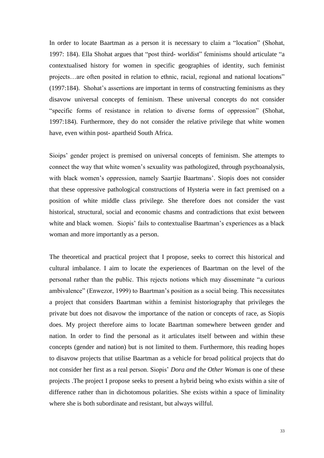In order to locate Baartman as a person it is necessary to claim a "location" (Shohat, 1997: 184). Ella Shohat argues that "post third- worldist" feminisms should articulate "a contextualised history for women in specific geographies of identity, such feminist projects…are often posited in relation to ethnic, racial, regional and national locations" (1997:184). Shohat"s assertions are important in terms of constructing feminisms as they disavow universal concepts of feminism. These universal concepts do not consider "specific forms of resistance in relation to diverse forms of oppression" (Shohat, 1997:184). Furthermore, they do not consider the relative privilege that white women have, even within post- apartheid South Africa.

Sioips" gender project is premised on universal concepts of feminism. She attempts to connect the way that white women"s sexuality was pathologized, through psychoanalysis, with black women's oppression, namely Saartjie Baartmans'. Siopis does not consider that these oppressive pathological constructions of Hysteria were in fact premised on a position of white middle class privilege. She therefore does not consider the vast historical, structural, social and economic chasms and contradictions that exist between white and black women. Siopis' fails to contextualise Baartman's experiences as a black woman and more importantly as a person.

The theoretical and practical project that I propose, seeks to correct this historical and cultural imbalance. I aim to locate the experiences of Baartman on the level of the personal rather than the public. This rejects notions which may disseminate "a curious ambivalence" (Enwezor, 1999) to Baartman"s position as a social being. This necessitates a project that considers Baartman within a feminist historiography that privileges the private but does not disavow the importance of the nation or concepts of race, as Siopis does. My project therefore aims to locate Baartman somewhere between gender and nation. In order to find the personal as it articulates itself between and within these concepts (gender and nation) but is not limited to them. Furthermore, this reading hopes to disavow projects that utilise Baartman as a vehicle for broad political projects that do not consider her first as a real person. Siopis" *Dora and the Other Woman* is one of these projects .The project I propose seeks to present a hybrid being who exists within a site of difference rather than in dichotomous polarities. She exists within a space of liminality where she is both subordinate and resistant, but always willful.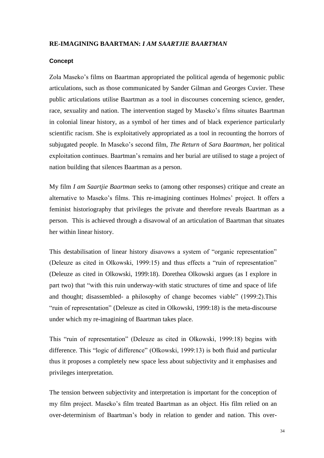## <span id="page-38-0"></span>**RE-IMAGINING BAARTMAN:** *I AM SAARTJIE BAARTMAN*

#### <span id="page-38-1"></span>**Concept**

Zola Maseko's films on Baartman appropriated the political agenda of hegemonic public articulations, such as those communicated by Sander Gilman and Georges Cuvier. These public articulations utilise Baartman as a tool in discourses concerning science, gender, race, sexuality and nation. The intervention staged by Maseko"s films situates Baartman in colonial linear history, as a symbol of her times and of black experience particularly scientific racism. She is exploitatively appropriated as a tool in recounting the horrors of subjugated people. In Maseko"s second film, *The Return* of *Sara Baartman,* her political exploitation continues. Baartman"s remains and her burial are utilised to stage a project of nation building that silences Baartman as a person.

My film *I am Saartjie Baartman* seeks to (among other responses) critique and create an alternative to Maseko's films. This re-imagining continues Holmes' project. It offers a feminist historiography that privileges the private and therefore reveals Baartman as a person. This is achieved through a disavowal of an articulation of Baartman that situates her within linear history.

This destabilisation of linear history disavows a system of "organic representation" (Deleuze as cited in Olkowski, 1999:15) and thus effects a "ruin of representation" (Deleuze as cited in Olkowski, 1999:18). Dorethea Olkowski argues (as I explore in part two) that "with this ruin underway-with static structures of time and space of life and thought; disassembled- a philosophy of change becomes viable" (1999:2).This "ruin of representation" (Deleuze as cited in Olkowski, 1999:18) is the meta-discourse under which my re-imagining of Baartman takes place.

This "ruin of representation" (Deleuze as cited in Olkowski, 1999:18) begins with difference. This "logic of difference" (Olkowski, 1999:13) is both fluid and particular thus it proposes a completely new space less about subjectivity and it emphasises and privileges interpretation.

The tension between subjectivity and interpretation is important for the conception of my film project. Maseko"s film treated Baartman as an object. His film relied on an over-determinism of Baartman"s body in relation to gender and nation. This over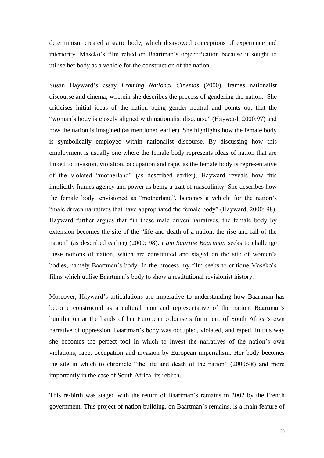determinism created a static body, which disavowed conceptions of experience and interiority. Maseko's film relied on Baartman's objectification because it sought to utilise her body as a vehicle for the construction of the nation.

Susan Hayward"s essay *Framing National Cinemas* (2000), frames nationalist discourse and cinema; wherein she describes the process of gendering the nation. She criticises initial ideas of the nation being gender neutral and points out that the "woman"s body is closely aligned with nationalist discourse" (Hayward, 2000:97) and how the nation is imagined (as mentioned earlier). She highlights how the female body is symbolically employed within nationalist discourse. By discussing how this employment is usually one where the female body represents ideas of nation that are linked to invasion, violation, occupation and rape, as the female body is representative of the violated "motherland" (as described earlier), Hayward reveals how this implicitly frames agency and power as being a trait of masculinity. She describes how the female body, envisioned as "motherland", becomes a vehicle for the nation"s "male driven narratives that have appropriated the female body" (Hayward, 2000: 98). Hayward further argues that "in these male driven narratives, the female body by extension becomes the site of the "life and death of a nation, the rise and fall of the nation" (as described earlier) (2000: 98). *I am Saartjie Baartman* seeks to challenge these notions of nation, which are constituted and staged on the site of women"s bodies, namely Baartman's body. In the process my film seeks to critique Maseko's films which utilise Baartman"s body to show a restitutional revisionist history.

Moreover, Hayward"s articulations are imperative to understanding how Baartman has become constructed as a cultural icon and representative of the nation. Baartman"s humiliation at the hands of her European colonisers form part of South Africa"s own narrative of oppression. Baartman"s body was occupied, violated, and raped. In this way she becomes the perfect tool in which to invest the narratives of the nation"s own violations, rape, occupation and invasion by European imperialism. Her body becomes the site in which to chronicle "the life and death of the nation" (2000:98) and more importantly in the case of South Africa, its rebirth.

This re-birth was staged with the return of Baartman"s remains in 2002 by the French government. This project of nation building, on Baartman"s remains, is a main feature of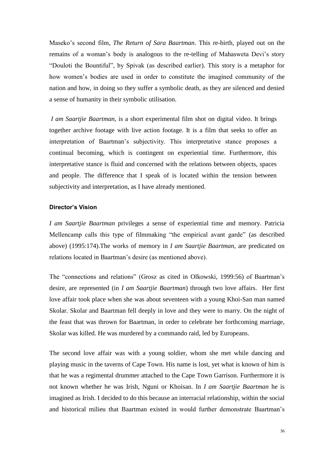Maseko"s second film*, The Return of Sara Baartman*. This re-birth, played out on the remains of a woman"s body is analogous to the re-telling of Mahasweta Devi"s story "Douloti the Bountiful", by Spivak (as described earlier). This story is a metaphor for how women"s bodies are used in order to constitute the imagined community of the nation and how, in doing so they suffer a symbolic death, as they are silenced and denied a sense of humanity in their symbolic utilisation.

*I am Saartjie Baartman,* is a short experimental film shot on digital video. It brings together archive footage with live action footage. It is a film that seeks to offer an interpretation of Baartman"s subjectivity. This interpretative stance proposes a continual becoming, which is contingent on experiential time. Furthermore, this interpretative stance is fluid and concerned with the relations between objects, spaces and people. The difference that I speak of is located within the tension between subjectivity and interpretation, as I have already mentioned.

## <span id="page-40-0"></span>**Director's Vision**

*I am Saartjie Baartman* privileges a sense of experiential time and memory. Patricia Mellencamp calls this type of filmmaking "the empirical avant garde" (as described above) (1995:174).The works of memory in *I am Saartjie Baartman,* are predicated on relations located in Baartman"s desire (as mentioned above).

The "connections and relations" (Grosz as cited in Olkowski, 1999:56) of Baartman"s desire, are represented (in *I am Saartjie Baartman*) through two love affairs. Her first love affair took place when she was about seventeen with a young Khoi-San man named Skolar. Skolar and Baartman fell deeply in love and they were to marry. On the night of the feast that was thrown for Baartman, in order to celebrate her forthcoming marriage, Skolar was killed. He was murdered by a commando raid, led by Europeans.

The second love affair was with a young soldier, whom she met while dancing and playing music in the taverns of Cape Town. His name is lost, yet what is known of him is that he was a regimental drummer attached to the Cape Town Garrison. Furthermore it is not known whether he was Irish, Nguni or Khoisan. In *I am Saartjie Baartman* he is imagined as Irish. I decided to do this because an interracial relationship, within the social and historical milieu that Baartman existed in would further demonstrate Baartman"s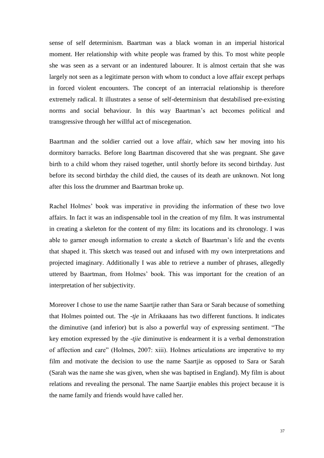sense of self determinism. Baartman was a black woman in an imperial historical moment. Her relationship with white people was framed by this. To most white people she was seen as a servant or an indentured labourer. It is almost certain that she was largely not seen as a legitimate person with whom to conduct a love affair except perhaps in forced violent encounters. The concept of an interracial relationship is therefore extremely radical. It illustrates a sense of self-determinism that destabilised pre-existing norms and social behaviour. In this way Baartman"s act becomes political and transgressive through her willful act of miscegenation.

Baartman and the soldier carried out a love affair, which saw her moving into his dormitory barracks. Before long Baartman discovered that she was pregnant. She gave birth to a child whom they raised together, until shortly before its second birthday. Just before its second birthday the child died, the causes of its death are unknown. Not long after this loss the drummer and Baartman broke up.

Rachel Holmes' book was imperative in providing the information of these two love affairs. In fact it was an indispensable tool in the creation of my film. It was instrumental in creating a skeleton for the content of my film: its locations and its chronology. I was able to garner enough information to create a sketch of Baartman"s life and the events that shaped it. This sketch was teased out and infused with my own interpretations and projected imaginary. Additionally I was able to retrieve a number of phrases, allegedly uttered by Baartman, from Holmes" book. This was important for the creation of an interpretation of her subjectivity.

Moreover I chose to use the name Saartjie rather than Sara or Sarah because of something that Holmes pointed out. The *-tje* in Afrikaaans has two different functions. It indicates the diminutive (and inferior) but is also a powerful way of expressing sentiment. "The key emotion expressed by the *-tjie* diminutive is endearment it is a verbal demonstration of affection and care" (Holmes, 2007: xiii). Holmes articulations are imperative to my film and motivate the decision to use the name Saartjie as opposed to Sara or Sarah (Sarah was the name she was given, when she was baptised in England). My film is about relations and revealing the personal. The name Saartjie enables this project because it is the name family and friends would have called her.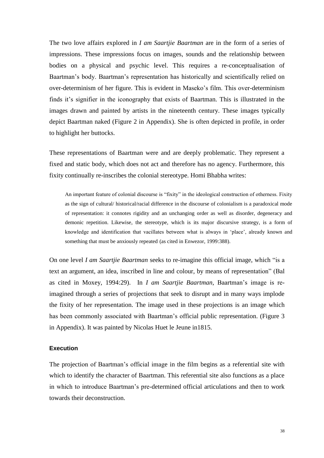The two love affairs explored in *I am Saartjie Baartman* are in the form of a series of impressions. These impressions focus on images, sounds and the relationship between bodies on a physical and psychic level. This requires a re-conceptualisation of Baartman"s body. Baartman"s representation has historically and scientifically relied on over-determinism of her figure. This is evident in Maseko"s film. This over-determinism finds it"s signifier in the iconography that exists of Baartman. This is illustrated in the images drawn and painted by artists in the nineteenth century. These images typically depict Baartman naked [\(Figure 2](#page-55-0) in Appendix). She is often depicted in profile, in order to highlight her buttocks.

These representations of Baartman were and are deeply problematic. They represent a fixed and static body, which does not act and therefore has no agency. Furthermore, this fixity continually re-inscribes the colonial stereotype. Homi Bhabha writes:

An important feature of colonial discourse is "fixity" in the ideological construction of otherness. Fixity as the sign of cultural/ historical/racial difference in the discourse of colonialism is a paradoxical mode of representation: it connotes rigidity and an unchanging order as well as disorder, degeneracy and demonic repetition. Likewise, the stereotype, which is its major discursive strategy, is a form of knowledge and identification that vacillates between what is always in "place", already known and something that must be anxiously repeated (as cited in Enwezor, 1999:388).

On one level *I am Saartjie Baartman* seeks to re-imagine this official image, which "is a text an argument, an idea, inscribed in line and colour, by means of representation" (Bal as cited in Moxey, 1994:29). In *I am Saartjie Baartman,* Baartman"s image is reimagined through a series of projections that seek to disrupt and in many ways implode the fixity of her representation. The image used in these projections is an image which has been commonly associated with Baartman's official public representation. [\(Figure 3](#page-56-0) in Appendix). It was painted by Nicolas Huet le Jeune in1815.

### <span id="page-42-0"></span>**Execution**

The projection of Baartman"s official image in the film begins as a referential site with which to identify the character of Baartman. This referential site also functions as a place in which to introduce Baartman"s pre-determined official articulations and then to work towards their deconstruction.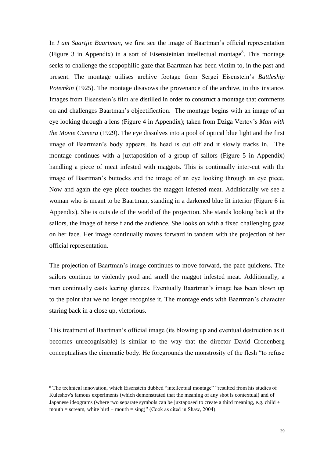In *I am Saartjie Baartman,* we first see the image of Baartman"s official representation [\(Figure 3](#page-56-0) in Appendix) in a sort of Eisensteinian intellectual montage<sup>8</sup>. This montage seeks to challenge the scopophilic gaze that Baartman has been victim to, in the past and present. The montage utilises archive footage from Sergei Eisenstein"s *Battleship Potemkin* (1925). The montage disavows the provenance of the archive, in this instance. Images from Eisenstein"s film are distilled in order to construct a montage that comments on and challenges Baartman"s objectification. The montage begins with an image of an eye looking through a lens [\(Figure 4](#page-57-0) in Appendix); taken from Dziga Vertov"s *Man with the Movie Camera* (1929). The eye dissolves into a pool of optical blue light and the first image of Baartman"s body appears. Its head is cut off and it slowly tracks in. The montage continues with a juxtaposition of a group of sailors [\(Figure 5](#page-58-0) in Appendix) handling a piece of meat infested with maggots. This is continually inter-cut with the image of Baartman"s buttocks and the image of an eye looking through an eye piece. Now and again the eye piece touches the maggot infested meat. Additionally we see a woman who is meant to be Baartman, standing in a darkened blue lit interior [\(Figure 6](#page-59-0) in Appendix). She is outside of the world of the projection. She stands looking back at the sailors, the image of herself and the audience. She looks on with a fixed challenging gaze on her face. Her image continually moves forward in tandem with the projection of her official representation.

The projection of Baartman"s image continues to move forward, the pace quickens. The sailors continue to violently prod and smell the maggot infested meat. Additionally, a man continually casts leering glances. Eventually Baartman"s image has been blown up to the point that we no longer recognise it. The montage ends with Baartman"s character staring back in a close up, victorious.

This treatment of Baartman"s official image (its blowing up and eventual destruction as it becomes unrecognisable) is similar to the way that the director David Cronenberg conceptualises the cinematic body. He foregrounds the monstrosity of the flesh "to refuse

1

<sup>8</sup> The technical innovation, which Eisenstein dubbed "intellectual montage" "resulted from his studies of Kuleshov's famous experiments (which demonstrated that the meaning of any shot is contextual) and of Japanese ideograms (where two separate symbols can be juxtaposed to create a third meaning, e.g. child + mouth = scream, white bird + mouth = sing)" (Cook as cited in Shaw, 2004).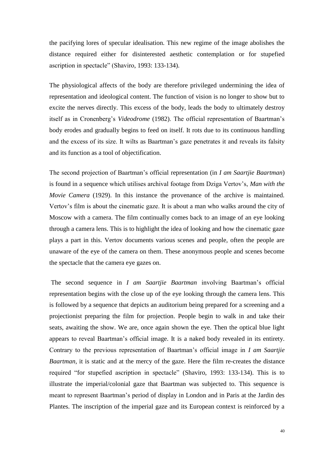the pacifying lores of specular idealisation. This new regime of the image abolishes the distance required either for disinterested aesthetic contemplation or for stupefied ascription in spectacle" (Shaviro, 1993: 133-134).

The physiological affects of the body are therefore privileged undermining the idea of representation and ideological content. The function of vision is no longer to show but to excite the nerves directly. This excess of the body, leads the body to ultimately destroy itself as in Cronenberg's *Videodrome* (1982). The official representation of Baartman's body erodes and gradually begins to feed on itself. It rots due to its continuous handling and the excess of its size. It wilts as Baartman"s gaze penetrates it and reveals its falsity and its function as a tool of objectification.

The second projection of Baartman"s official representation (in *I am Saartjie Baartman*) is found in a sequence which utilises archival footage from Dziga Vertov"s, *Man with the Movie Camera* (1929). In this instance the provenance of the archive is maintained. Vertov"s film is about the cinematic gaze. It is about a man who walks around the city of Moscow with a camera. The film continually comes back to an image of an eye looking through a camera lens. This is to highlight the idea of looking and how the cinematic gaze plays a part in this. Vertov documents various scenes and people, often the people are unaware of the eye of the camera on them. These anonymous people and scenes become the spectacle that the camera eye gazes on.

The second sequence in *I am Saartjie Baartman* involving Baartman"s official representation begins with the close up of the eye looking through the camera lens. This is followed by a sequence that depicts an auditorium being prepared for a screening and a projectionist preparing the film for projection. People begin to walk in and take their seats, awaiting the show. We are, once again shown the eye. Then the optical blue light appears to reveal Baartman"s official image. It is a naked body revealed in its entirety. Contrary to the previous representation of Baartman"s official image in *I am Saartjie Baartman,* it is static and at the mercy of the gaze. Here the film re-creates the distance required "for stupefied ascription in spectacle" (Shaviro, 1993: 133-134). This is to illustrate the imperial/colonial gaze that Baartman was subjected to. This sequence is meant to represent Baartman"s period of display in London and in Paris at the Jardin des Plantes. The inscription of the imperial gaze and its European context is reinforced by a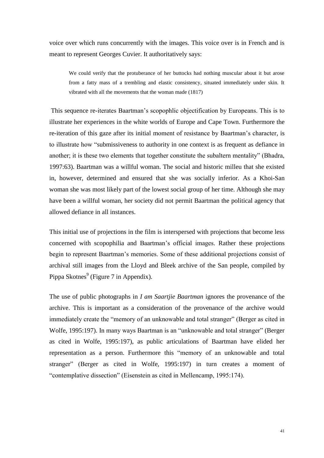voice over which runs concurrently with the images. This voice over is in French and is meant to represent Georges Cuvier. It authoritatively says:

We could verify that the protuberance of her buttocks had nothing muscular about it but arose from a fatty mass of a trembling and elastic consistency, situated immediately under skin. It vibrated with all the movements that the woman made (1817)

This sequence re-iterates Baartman"s scopophlic objectification by Europeans. This is to illustrate her experiences in the white worlds of Europe and Cape Town. Furthermore the re-iteration of this gaze after its initial moment of resistance by Baartman"s character, is to illustrate how "submissiveness to authority in one context is as frequent as defiance in another; it is these two elements that together constitute the subaltern mentality" (Bhadra, 1997:63). Baartman was a willful woman. The social and historic milleu that she existed in, however, determined and ensured that she was socially inferior. As a Khoi-San woman she was most likely part of the lowest social group of her time. Although she may have been a willful woman, her society did not permit Baartman the political agency that allowed defiance in all instances.

This initial use of projections in the film is interspersed with projections that become less concerned with scopophilia and Baartman"s official images. Rather these projections begin to represent Baartman"s memories. Some of these additional projections consist of archival still images from the Lloyd and Bleek archive of the San people, compiled by Pippa Skotnes<sup>9</sup> [\(Figure 7](#page-60-0) in Appendix).

The use of public photographs in *I am Saartjie Baartman* ignores the provenance of the archive. This is important as a consideration of the provenance of the archive would immediately create the "memory of an unknowable and total stranger" (Berger as cited in Wolfe, 1995:197). In many ways Baartman is an "unknowable and total stranger" (Berger as cited in Wolfe, 1995:197), as public articulations of Baartman have elided her representation as a person. Furthermore this "memory of an unknowable and total stranger" (Berger as cited in Wolfe, 1995:197) in turn creates a moment of "contemplative dissection" (Eisenstein as cited in Mellencamp, 1995:174).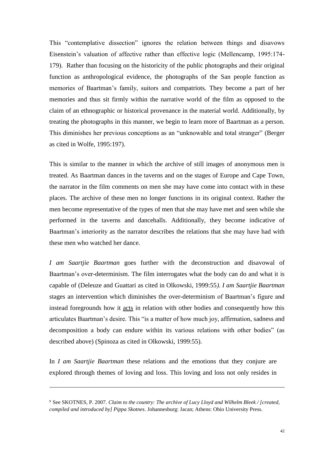This "contemplative dissection" ignores the relation between things and disavows Eisenstein"s valuation of affective rather than effective logic (Mellencamp, 1995:174- 179). Rather than focusing on the historicity of the public photographs and their original function as anthropological evidence, the photographs of the San people function as memories of Baartman"s family, suitors and compatriots. They become a part of her memories and thus sit firmly within the narrative world of the film as opposed to the claim of an ethnographic or historical provenance in the material world. Additionally, by treating the photographs in this manner, we begin to learn more of Baartman as a person. This diminishes her previous conceptions as an "unknowable and total stranger" (Berger as cited in Wolfe, 1995:197).

This is similar to the manner in which the archive of still images of anonymous men is treated. As Baartman dances in the taverns and on the stages of Europe and Cape Town, the narrator in the film comments on men she may have come into contact with in these places. The archive of these men no longer functions in its original context. Rather the men become representative of the types of men that she may have met and seen while she performed in the taverns and dancehalls. Additionally, they become indicative of Baartman"s interiority as the narrator describes the relations that she may have had with these men who watched her dance.

*I am Saartjie Baartman* goes further with the deconstruction and disavowal of Baartman's over-determinism. The film interrogates what the body can do and what it is capable of (Deleuze and Guattari as cited in Olkowski, 1999:55*)*. *I am Saartjie Baartman* stages an intervention which diminishes the over-determinism of Baartman"s figure and instead foregrounds how it acts in relation with other bodies and consequently how this articulates Baartman"s desire. This "is a matter of how much joy, affirmation, sadness and decomposition a body can endure within its various relations with other bodies" (as described above) (Spinoza as cited in Olkowski, 1999:55).

In *I am Saartjie Baartman* these relations and the emotions that they conjure are explored through themes of loving and loss. This loving and loss not only resides in

1

<sup>9</sup> See SKOTNES, P. 2007. *Claim to the country: The archive of Lucy Lloyd and Wilhelm Bleek / [created, compiled and introduced by] Pippa Skotnes*. Johannesburg: Jacan; Athens: Ohio University Press.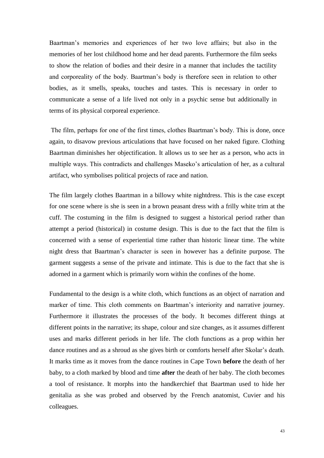Baartman"s memories and experiences of her two love affairs; but also in the memories of her lost childhood home and her dead parents. Furthermore the film seeks to show the relation of bodies and their desire in a manner that includes the tactility and corporeality of the body. Baartman"s body is therefore seen in relation to other bodies, as it smells, speaks, touches and tastes. This is necessary in order to communicate a sense of a life lived not only in a psychic sense but additionally in terms of its physical corporeal experience.

The film, perhaps for one of the first times, clothes Baartman"s body. This is done, once again, to disavow previous articulations that have focused on her naked figure. Clothing Baartman diminishes her objectification. It allows us to see her as a person, who acts in multiple ways. This contradicts and challenges Maseko"s articulation of her, as a cultural artifact, who symbolises political projects of race and nation.

The film largely clothes Baartman in a billowy white nightdress. This is the case except for one scene where is she is seen in a brown peasant dress with a frilly white trim at the cuff. The costuming in the film is designed to suggest a historical period rather than attempt a period (historical) in costume design. This is due to the fact that the film is concerned with a sense of experiential time rather than historic linear time. The white night dress that Baartman"s character is seen in however has a definite purpose. The garment suggests a sense of the private and intimate. This is due to the fact that she is adorned in a garment which is primarily worn within the confines of the home.

Fundamental to the design is a white cloth, which functions as an object of narration and marker of time. This cloth comments on Baartman"s interiority and narrative journey. Furthermore it illustrates the processes of the body. It becomes different things at different points in the narrative; its shape, colour and size changes, as it assumes different uses and marks different periods in her life. The cloth functions as a prop within her dance routines and as a shroud as she gives birth or comforts herself after Skolar"s death. It marks time as it moves from the dance routines in Cape Town **before** the death of her baby, to a cloth marked by blood and time **after** the death of her baby. The cloth becomes a tool of resistance. It morphs into the handkerchief that Baartman used to hide her genitalia as she was probed and observed by the French anatomist, Cuvier and his colleagues.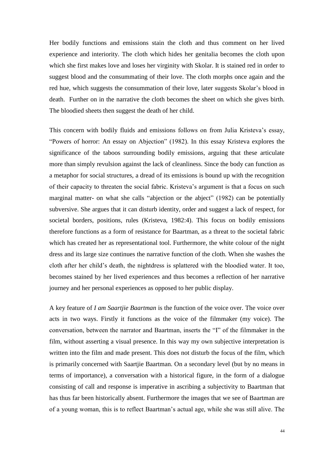Her bodily functions and emissions stain the cloth and thus comment on her lived experience and interiority. The cloth which hides her genitalia becomes the cloth upon which she first makes love and loses her virginity with Skolar. It is stained red in order to suggest blood and the consummating of their love. The cloth morphs once again and the red hue, which suggests the consummation of their love, later suggests Skolar's blood in death. Further on in the narrative the cloth becomes the sheet on which she gives birth. The bloodied sheets then suggest the death of her child.

This concern with bodily fluids and emissions follows on from Julia Kristeva's essay, "Powers of horror: An essay on Abjection" (1982). In this essay Kristeva explores the significance of the taboos surrounding bodily emissions, arguing that these articulate more than simply revulsion against the lack of cleanliness. Since the body can function as a metaphor for social structures, a dread of its emissions is bound up with the recognition of their capacity to threaten the social fabric. Kristeva"s argument is that a focus on such marginal matter- on what she calls "abjection or the abject" (1982) can be potentially subversive. She argues that it can disturb identity, order and suggest a lack of respect, for societal borders, positions, rules (Kristeva, 1982:4). This focus on bodily emissions therefore functions as a form of resistance for Baartman, as a threat to the societal fabric which has created her as representational tool. Furthermore, the white colour of the night dress and its large size continues the narrative function of the cloth. When she washes the cloth after her child"s death, the nightdress is splattered with the bloodied water. It too, becomes stained by her lived experiences and thus becomes a reflection of her narrative journey and her personal experiences as opposed to her public display.

A key feature of *I am Saartjie Baartman* is the function of the voice over. The voice over acts in two ways. Firstly it functions as the voice of the filmmaker (my voice). The conversation, between the narrator and Baartman, inserts the "I" of the filmmaker in the film, without asserting a visual presence. In this way my own subjective interpretation is written into the film and made present. This does not disturb the focus of the film, which is primarily concerned with Saartjie Baartman. On a secondary level (but by no means in terms of importance), a conversation with a historical figure, in the form of a dialogue consisting of call and response is imperative in ascribing a subjectivity to Baartman that has thus far been historically absent. Furthermore the images that we see of Baartman are of a young woman, this is to reflect Baartman"s actual age, while she was still alive. The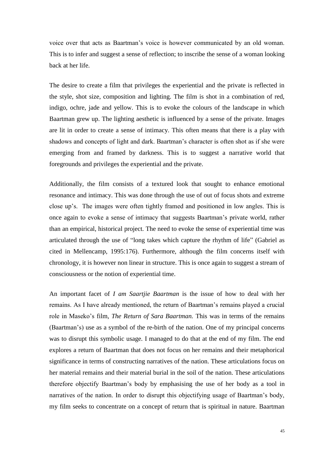voice over that acts as Baartman"s voice is however communicated by an old woman. This is to infer and suggest a sense of reflection; to inscribe the sense of a woman looking back at her life.

The desire to create a film that privileges the experiential and the private is reflected in the style, shot size, composition and lighting. The film is shot in a combination of red, indigo, ochre, jade and yellow. This is to evoke the colours of the landscape in which Baartman grew up. The lighting aesthetic is influenced by a sense of the private. Images are lit in order to create a sense of intimacy. This often means that there is a play with shadows and concepts of light and dark. Baartman"s character is often shot as if she were emerging from and framed by darkness. This is to suggest a narrative world that foregrounds and privileges the experiential and the private.

Additionally, the film consists of a textured look that sought to enhance emotional resonance and intimacy. This was done through the use of out of focus shots and extreme close up"s. The images were often tightly framed and positioned in low angles. This is once again to evoke a sense of intimacy that suggests Baartman"s private world, rather than an empirical, historical project. The need to evoke the sense of experiential time was articulated through the use of "long takes which capture the rhythm of life" (Gabriel as cited in Mellencamp, 1995:176). Furthermore, although the film concerns itself with chronology, it is however non linear in structure. This is once again to suggest a stream of consciousness or the notion of experiential time.

An important facet of *I am Saartjie Baartman* is the issue of how to deal with her remains. As I have already mentioned, the return of Baartman"s remains played a crucial role in Maseko"s film*, The Return of Sara Baartman.* This was in terms of the remains (Baartman"s) use as a symbol of the re-birth of the nation. One of my principal concerns was to disrupt this symbolic usage. I managed to do that at the end of my film. The end explores a return of Baartman that does not focus on her remains and their metaphorical significance in terms of constructing narratives of the nation. These articulations focus on her material remains and their material burial in the soil of the nation. These articulations therefore objectify Baartman"s body by emphasising the use of her body as a tool in narratives of the nation. In order to disrupt this objectifying usage of Baartman"s body, my film seeks to concentrate on a concept of return that is spiritual in nature. Baartman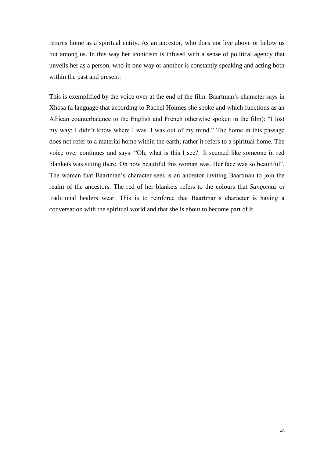returns home as a spiritual entity. As an ancestor, who does not live above or below us but among us. In this way her iconicism is infused with a sense of political agency that unveils her as a person, who in one way or another is constantly speaking and acting both within the past and present.

This is exemplified by the voice over at the end of the film. Baartman"s character says in Xhosa (a language that according to Rachel Holmes she spoke and which functions as an African counterbalance to the English and French otherwise spoken in the film): "I lost my way; I didn"t know where I was. I was out of my mind." The home in this passage does not refer to a material home within the earth; rather it refers to a spiritual home. The voice over continues and says: "Oh, what is this I see? It seemed like someone in red blankets was sitting there. Oh how beautiful this woman was. Her face was so beautiful". The woman that Baartman"s character sees is an ancestor inviting Baartman to join the realm of the ancestors. The red of her blankets refers to the colours that *Sangomas* or traditional healers wear. This is to reinforce that Baartman"s character is having a conversation with the spiritual world and that she is about to become part of it.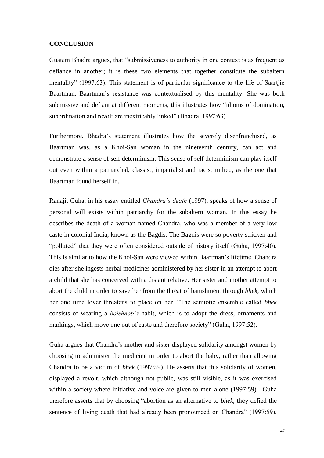#### <span id="page-51-0"></span>**CONCLUSION**

Guatam Bhadra argues, that "submissiveness to authority in one context is as frequent as defiance in another; it is these two elements that together constitute the subaltern mentality" (1997:63). This statement is of particular significance to the life of Saartjie Baartman. Baartman"s resistance was contextualised by this mentality. She was both submissive and defiant at different moments, this illustrates how "idioms of domination, subordination and revolt are inextricably linked" (Bhadra, 1997:63).

Furthermore, Bhadra"s statement illustrates how the severely disenfranchised, as Baartman was, as a Khoi-San woman in the nineteenth century, can act and demonstrate a sense of self determinism. This sense of self determinism can play itself out even within a patriarchal, classist, imperialist and racist milieu, as the one that Baartman found herself in.

Ranajit Guha, in his essay entitled *Chandra"s death* (1997), speaks of how a sense of personal will exists within patriarchy for the subaltern woman. In this essay he describes the death of a woman named Chandra, who was a member of a very low caste in colonial India, known as the Bagdis. The Bagdis were so poverty stricken and "polluted" that they were often considered outside of history itself (Guha, 1997:40). This is similar to how the Khoi-San were viewed within Baartman"s lifetime. Chandra dies after she ingests herbal medicines administered by her sister in an attempt to abort a child that she has conceived with a distant relative. Her sister and mother attempt to abort the child in order to save her from the threat of banishment through *bhek,* which her one time lover threatens to place on her. "The semiotic ensemble called *bhek* consists of wearing a *boishnob"s* habit, which is to adopt the dress, ornaments and markings, which move one out of caste and therefore society" (Guha, 1997:52).

Guha argues that Chandra"s mother and sister displayed solidarity amongst women by choosing to administer the medicine in order to abort the baby, rather than allowing Chandra to be a victim of *bhek* (1997:59). He asserts that this solidarity of women, displayed a revolt, which although not public, was still visible, as it was exercised within a society where initiative and voice are given to men alone (1997:59). Guha therefore asserts that by choosing "abortion as an alternative to *bhek*, they defied the sentence of living death that had already been pronounced on Chandra" (1997:59).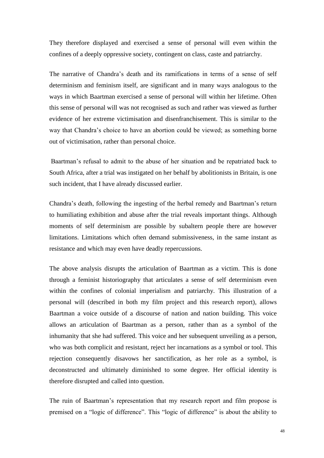They therefore displayed and exercised a sense of personal will even within the confines of a deeply oppressive society, contingent on class, caste and patriarchy.

The narrative of Chandra"s death and its ramifications in terms of a sense of self determinism and feminism itself, are significant and in many ways analogous to the ways in which Baartman exercised a sense of personal will within her lifetime. Often this sense of personal will was not recognised as such and rather was viewed as further evidence of her extreme victimisation and disenfranchisement. This is similar to the way that Chandra"s choice to have an abortion could be viewed; as something borne out of victimisation, rather than personal choice.

Baartman"s refusal to admit to the abuse of her situation and be repatriated back to South Africa, after a trial was instigated on her behalf by abolitionists in Britain, is one such incident, that I have already discussed earlier.

Chandra"s death, following the ingesting of the herbal remedy and Baartman"s return to humiliating exhibition and abuse after the trial reveals important things. Although moments of self determinism are possible by subaltern people there are however limitations. Limitations which often demand submissiveness, in the same instant as resistance and which may even have deadly repercussions.

The above analysis disrupts the articulation of Baartman as a victim. This is done through a feminist historiography that articulates a sense of self determinism even within the confines of colonial imperialism and patriarchy. This illustration of a personal will (described in both my film project and this research report), allows Baartman a voice outside of a discourse of nation and nation building. This voice allows an articulation of Baartman as a person, rather than as a symbol of the inhumanity that she had suffered. This voice and her subsequent unveiling as a person, who was both complicit and resistant, reject her incarnations as a symbol or tool. This rejection consequently disavows her sanctification, as her role as a symbol, is deconstructed and ultimately diminished to some degree. Her official identity is therefore disrupted and called into question.

The ruin of Baartman's representation that my research report and film propose is premised on a "logic of difference". This "logic of difference" is about the ability to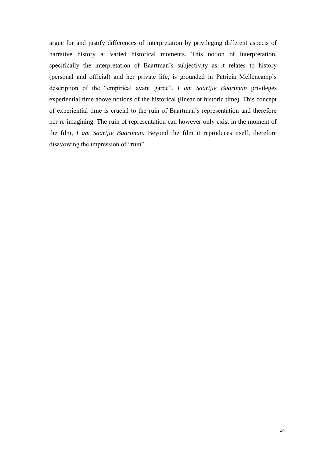argue for and justify differences of interpretation by privileging different aspects of narrative history at varied historical moments. This notion of interpretation, specifically the interpretation of Baartman's subjectivity as it relates to history (personal and official) and her private life, is grounded in Patricia Mellencamp"s description of the "empirical avant garde". *I am Saartjie Baartman* privileges experiential time above notions of the historical (linear or historic time). This concept of experiential time is crucial to the ruin of Baartman"s representation and therefore her re-imagining. The ruin of representation can however only exist in the moment of the film, *I am Saartjie Baartman.* Beyond the film it reproduces itself, therefore disavowing the impression of "ruin".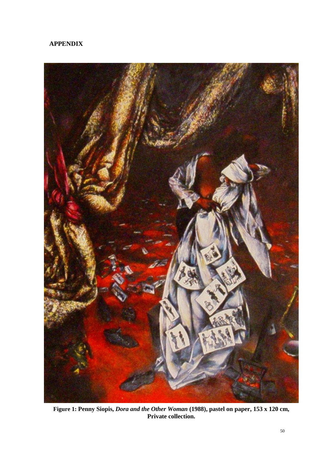# <span id="page-54-0"></span>**APPENDIX**

<span id="page-54-1"></span>

**Figure 1: Penny Siopis,** *Dora and the Other Woman* **(1988), pastel on paper, 153 x 120 cm, Private collection.**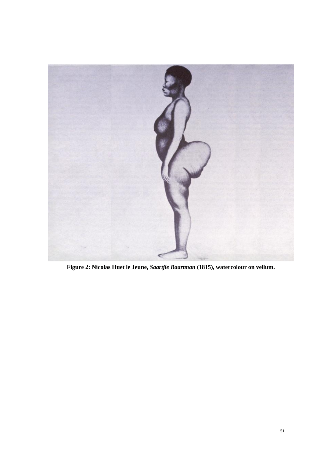<span id="page-55-0"></span>

**Figure 2: Nicolas Huet le Jeune,** *Saartjie Baartman* **(1815), watercolour on vellum.**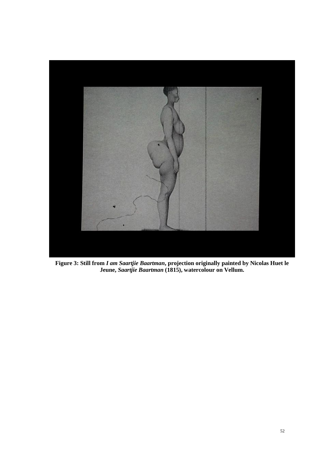<span id="page-56-0"></span>

**Figure 3: Still from** *I am Saartjie Baartman***, projection originally painted by Nicolas Huet le Jeune,** *Saartjie Baartman* **(1815), watercolour on Vellum.**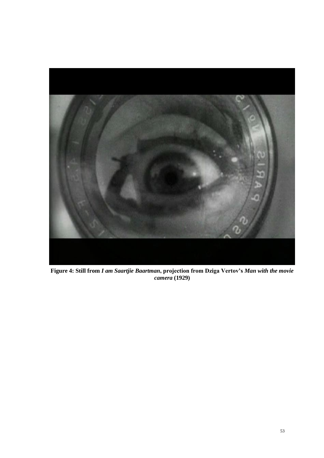<span id="page-57-0"></span>

**Figure 4: Still from** *I am Saartjie Baartman***, projection from Dziga Vertov's** *Man with the movie camera* **(1929)**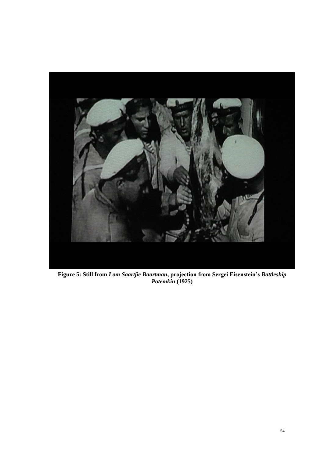<span id="page-58-0"></span>

**Figure 5: Still from** *I am Saartjie Baartman***, projection from Sergei Eisenstein's** *Battleship Potemkin* **(1925)**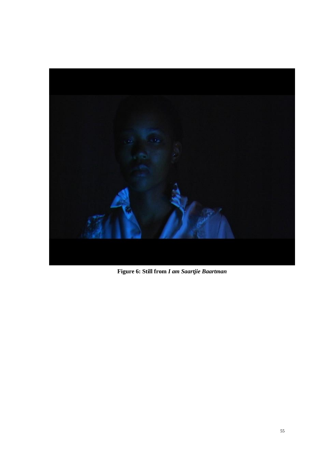<span id="page-59-0"></span>

**Figure 6: Still from** *I am Saartjie Baartman*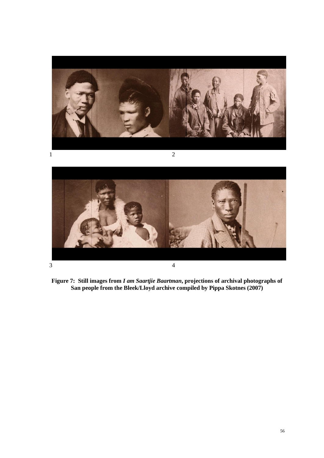

<span id="page-60-0"></span>

**Figure 7: Still images from** *I am Saartjie Baartman***, projections of archival photographs of San people from the Bleek/Lloyd archive compiled by Pippa Skotnes (2007)**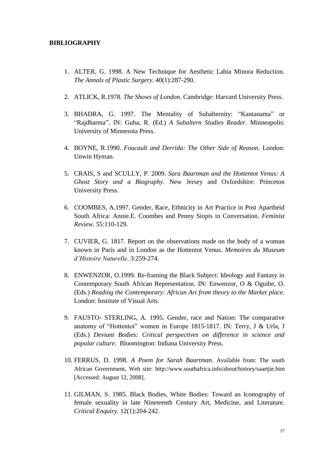## <span id="page-61-0"></span>**BIBLIOGRAPHY**

- 1. ALTER, G. 1998. A New Technique for Aesthetic Labia Minora Reduction. *The Annals of Plastic Surgery*. 40(1):287-290.
- 2. ATLICK, R.1978. *The Shows of London*. Cambridge: Harvard University Press.
- 3. BHADRA, G. 1997. The Mentality of Subalternity: "Kantanama" or "Rajdharma". IN: Guha, R. (Ed.) *A Subaltern Studies Reader*. Minneapolis: University of Minnesota Press.
- 4. BOYNE, R.1990. *Foucault and Derrida: The Other Side of Reason*. London: Unwin Hyman.
- 5. CRAIS, S and SCULLY, P. 2009. *Sara Baartman and the Hottentot Venus: A Ghost Story and a Biography*. New Jersey and Oxfordshire: Princeton University Press.
- 6. COOMBES, A.1997. Gender, Race, Ethnicity in Art Practice in Post Apartheid South Africa: Annie.E. Coombes and Penny Siopis in Conversation. *Feminist Review*. 55:110-129.
- 7. CUVIER, G. 1817. Report on the observations made on the body of a woman known in Paris and in London as the Hottentot Venus. *Memoires du Museum d"Histoire Naturelle*. 3:259-274.
- 8. ENWENZOR, O.1999. Re-framing the Black Subject: Ideology and Fantasy in Contemporary South African Representation. IN: Enwenzor, O & Oguibe, O. (Eds.) *Reading the Contemporary: African Art from theory to the Market place*. London: Institute of Visual Arts.
- 9. FAUSTO- STERLING, A. 1995. Gender, race and Nation: The comparative anatomy of "Hottentot" women in Europe 1815-1817. IN: Terry, J & Urla, J (Eds.) *Deviant Bodies: Critical perspectives on difference in science and popular culture*. Bloomington: Indiana University Press.
- 10. FERRUS, D. 1998. *A Poem for Sarah Baartman*. Available from: The south African Government, Web site: http://www.southafrica.info/about/history/saartjie.htm [Accessed: August 12, 2008].
- 11. GILMAN, S. 1985. Black Bodies, White Bodies: Toward an Iconography of female sexuality in late Nineteenth Century Art, Medicine, and Literature. *Critical Enquiry*. 12(1):204-242.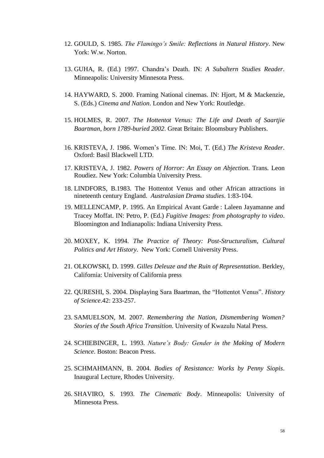- 12. GOULD, S. 1985. *The Flamingo"s Smile: Reflections in Natural History*. New York: W.w. Norton.
- 13. GUHA, R. (Ed.) 1997. Chandra"s Death. IN: *A Subaltern Studies Reader*. Minneapolis: University Minnesota Press.
- 14. HAYWARD, S. 2000. Framing National cinemas*.* IN: Hjort, M & Mackenzie, S. (Eds.) *Cinema and Nation*. London and New York: Routledge.
- 15. HOLMES, R. 2007. *The Hottentot Venus: The Life and Death of Saartjie Baartman, born 1789-buried 2002*. Great Britain: Bloomsbury Publishers.
- 16. KRISTEVA, J. 1986. Women"s Time. IN: Moi, T. (Ed.) *The Kristeva Reader*. Oxford: Basil Blackwell LTD.
- 17. KRISTEVA, J. 1982. *Powers of Horror: An Essay on Abjection*. Trans. Leon Roudiez. New York: Columbia University Press.
- 18. LINDFORS, B.1983. The Hottentot Venus and other African attractions in nineteenth century England. *Australasian Drama studies*. 1:83-104.
- 19. MELLENCAMP, P. 1995. An Empirical Avant Garde : Laleen Jayamanne and Tracey Moffat. IN: Petro, P. (Ed.) *Fugitive Images: from photography to video*. Bloomington and Indianapolis: Indiana University Press.
- 20. MOXEY, K. 1994. *The Practice of Theory: Post-Structuralism, Cultural Politics and Art History*. New York: Cornell University Press.
- 21. OLKOWSKI, D. 1999. *Gilles Deleuze and the Ruin of Representation*. Berkley, California: University of California press
- 22. QURESHI, S. 2004. Displaying Sara Baartman, the "Hottentot Venus". *History of Science*.42: 233-257.
- 23. SAMUELSON, M. 2007. *Remembering the Nation, Dismembering Women? Stories of the South Africa Transition*. University of Kwazulu Natal Press.
- 24. SCHIEBINGER, L. 1993. *Nature"s Body: Gender in the Making of Modern Science*. Boston: Beacon Press.
- 25. SCHMAHMANN, B. 2004. *Bodies of Resistance: Works by Penny Siopis*. Inaugural Lecture, Rhodes University.
- 26. SHAVIRO, S. 1993. *The Cinematic Body*. Minneapolis: University of Minnesota Press.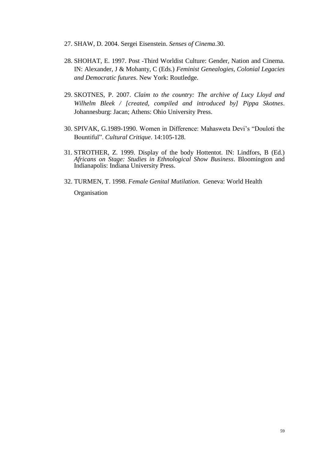- 27. SHAW, D. 2004. Sergei Eisenstein. *Senses of Cinema*.30.
- 28. SHOHAT, E. 1997. Post -Third Worldist Culture: Gender, Nation and Cinema. IN: Alexander, J & Mohanty, C (Eds.) *Feminist Genealogies, Colonial Legacies and Democratic futures*. New York: Routledge.
- 29. SKOTNES, P. 2007. *Claim to the country: The archive of Lucy Lloyd and Wilhelm Bleek / [created, compiled and introduced by] Pippa Skotnes*. Johannesburg: Jacan; Athens: Ohio University Press.
- 30. SPIVAK, G.1989-1990. Women in Difference: Mahasweta Devi"s "Douloti the Bountiful". *Cultural Critique*. 14:105-128.
- 31. STROTHER, Z. 1999. Display of the body Hottentot. IN: Lindfors, B (Ed.) *Africans on Stage: Studies in Ethnological Show Business*. Bloomington and Indianapolis: Indiana University Press.
- 32. TURMEN, T. 1998. *Female Genital Mutilation*. Geneva: World Health **Organisation**